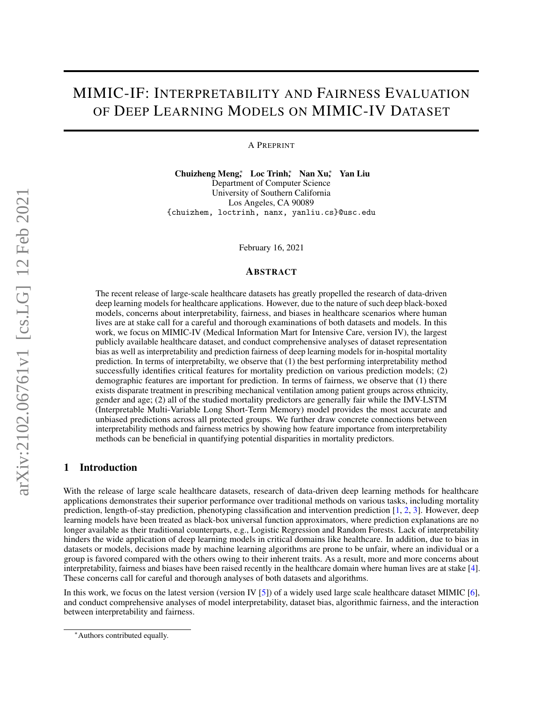# MIMIC-IF: INTERPRETABILITY AND FAIRNESS EVALUATION OF DEEP LEARNING MODELS ON MIMIC-IV DATASET

A PREPRINT

Chuizheng Meng<sup>∗</sup> Loc Trinh<sup>∗</sup> Nan Xu<sup>∗</sup> Yan Liu Department of Computer Science University of Southern California Los Angeles, CA 90089 {chuizhem, loctrinh, nanx, yanliu.cs}@usc.edu

February 16, 2021

#### ABSTRACT

The recent release of large-scale healthcare datasets has greatly propelled the research of data-driven deep learning models for healthcare applications. However, due to the nature of such deep black-boxed models, concerns about interpretability, fairness, and biases in healthcare scenarios where human lives are at stake call for a careful and thorough examinations of both datasets and models. In this work, we focus on MIMIC-IV (Medical Information Mart for Intensive Care, version IV), the largest publicly available healthcare dataset, and conduct comprehensive analyses of dataset representation bias as well as interpretability and prediction fairness of deep learning models for in-hospital mortality prediction. In terms of interpretabilty, we observe that (1) the best performing interpretability method successfully identifies critical features for mortality prediction on various prediction models; (2) demographic features are important for prediction. In terms of fairness, we observe that (1) there exists disparate treatment in prescribing mechanical ventilation among patient groups across ethnicity, gender and age; (2) all of the studied mortality predictors are generally fair while the IMV-LSTM (Interpretable Multi-Variable Long Short-Term Memory) model provides the most accurate and unbiased predictions across all protected groups. We further draw concrete connections between interpretability methods and fairness metrics by showing how feature importance from interpretability methods can be beneficial in quantifying potential disparities in mortality predictors.

## 1 Introduction

With the release of large scale healthcare datasets, research of data-driven deep learning methods for healthcare applications demonstrates their superior performance over traditional methods on various tasks, including mortality prediction, length-of-stay prediction, phenotyping classification and intervention prediction [\[1,](#page-18-0) [2,](#page-18-1) [3\]](#page-18-2). However, deep learning models have been treated as black-box universal function approximators, where prediction explanations are no longer available as their traditional counterparts, e.g., Logistic Regression and Random Forests. Lack of interpretability hinders the wide application of deep learning models in critical domains like healthcare. In addition, due to bias in datasets or models, decisions made by machine learning algorithms are prone to be unfair, where an individual or a group is favored compared with the others owing to their inherent traits. As a result, more and more concerns about interpretability, fairness and biases have been raised recently in the healthcare domain where human lives are at stake [\[4\]](#page-18-3). These concerns call for careful and thorough analyses of both datasets and algorithms.

In this work, we focus on the latest version (version IV [\[5\]](#page-18-4)) of a widely used large scale healthcare dataset MIMIC [\[6\]](#page-18-5), and conduct comprehensive analyses of model interpretability, dataset bias, algorithmic fairness, and the interaction between interpretability and fairness.

<sup>∗</sup>Authors contributed equally.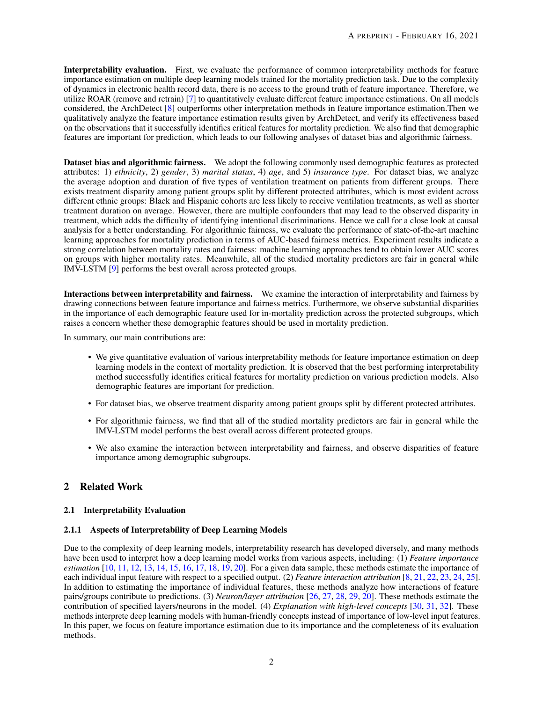Interpretability evaluation. First, we evaluate the performance of common interpretability methods for feature importance estimation on multiple deep learning models trained for the mortality prediction task. Due to the complexity of dynamics in electronic health record data, there is no access to the ground truth of feature importance. Therefore, we utilize ROAR (remove and retrain) [\[7\]](#page-18-6) to quantitatively evaluate different feature importance estimations. On all models considered, the ArchDetect [\[8\]](#page-18-7) outperforms other interpretation methods in feature importance estimation.Then we qualitatively analyze the feature importance estimation results given by ArchDetect, and verify its effectiveness based on the observations that it successfully identifies critical features for mortality prediction. We also find that demographic features are important for prediction, which leads to our following analyses of dataset bias and algorithmic fairness.

Dataset bias and algorithmic fairness. We adopt the following commonly used demographic features as protected attributes: 1) *ethnicity*, 2) *gender*, 3) *marital status*, 4) *age*, and 5) *insurance type*. For dataset bias, we analyze the average adoption and duration of five types of ventilation treatment on patients from different groups. There exists treatment disparity among patient groups split by different protected attributes, which is most evident across different ethnic groups: Black and Hispanic cohorts are less likely to receive ventilation treatments, as well as shorter treatment duration on average. However, there are multiple confounders that may lead to the observed disparity in treatment, which adds the difficulty of identifying intentional discriminations. Hence we call for a close look at causal analysis for a better understanding. For algorithmic fairness, we evaluate the performance of state-of-the-art machine learning approaches for mortality prediction in terms of AUC-based fairness metrics. Experiment results indicate a strong correlation between mortality rates and fairness: machine learning approaches tend to obtain lower AUC scores on groups with higher mortality rates. Meanwhile, all of the studied mortality predictors are fair in general while IMV-LSTM [\[9\]](#page-18-8) performs the best overall across protected groups.

Interactions between interpretability and fairness. We examine the interaction of interpretability and fairness by drawing connections between feature importance and fairness metrics. Furthermore, we observe substantial disparities in the importance of each demographic feature used for in-mortality prediction across the protected subgroups, which raises a concern whether these demographic features should be used in mortality prediction.

In summary, our main contributions are:

- We give quantitative evaluation of various interpretability methods for feature importance estimation on deep learning models in the context of mortality prediction. It is observed that the best performing interpretability method successfully identifies critical features for mortality prediction on various prediction models. Also demographic features are important for prediction.
- For dataset bias, we observe treatment disparity among patient groups split by different protected attributes.
- For algorithmic fairness, we find that all of the studied mortality predictors are fair in general while the IMV-LSTM model performs the best overall across different protected groups.
- We also examine the interaction between interpretability and fairness, and observe disparities of feature importance among demographic subgroups.

## 2 Related Work

#### 2.1 Interpretability Evaluation

#### 2.1.1 Aspects of Interpretability of Deep Learning Models

Due to the complexity of deep learning models, interpretability research has developed diversely, and many methods have been used to interpret how a deep learning model works from various aspects, including: (1) *Feature importance estimation* [\[10,](#page-18-9) [11,](#page-18-10) [12,](#page-18-11) [13,](#page-18-12) [14,](#page-18-13) [15,](#page-18-14) [16,](#page-18-15) [17,](#page-18-16) [18,](#page-18-17) [19,](#page-18-18) [20\]](#page-18-19). For a given data sample, these methods estimate the importance of each individual input feature with respect to a specified output. (2) *Feature interaction attribution* [\[8,](#page-18-7) [21,](#page-18-20) [22,](#page-18-21) [23,](#page-18-22) [24,](#page-18-23) [25\]](#page-19-0). In addition to estimating the importance of individual features, these methods analyze how interactions of feature pairs/groups contribute to predictions. (3) *Neuron/layer attribution* [\[26,](#page-19-1) [27,](#page-19-2) [28,](#page-19-3) [29,](#page-19-4) [20\]](#page-18-19). These methods estimate the contribution of specified layers/neurons in the model. (4) *Explanation with high-level concepts* [\[30,](#page-19-5) [31,](#page-19-6) [32\]](#page-19-7). These methods interprete deep learning models with human-friendly concepts instead of importance of low-level input features. In this paper, we focus on feature importance estimation due to its importance and the completeness of its evaluation methods.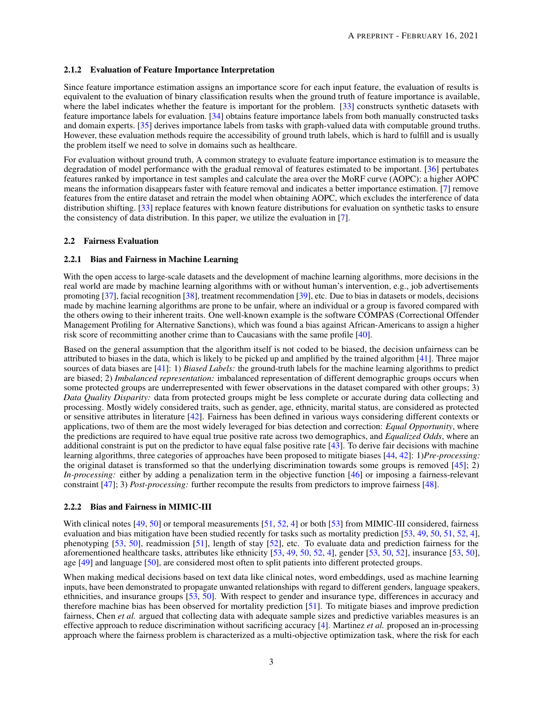#### 2.1.2 Evaluation of Feature Importance Interpretation

Since feature importance estimation assigns an importance score for each input feature, the evaluation of results is equivalent to the evaluation of binary classification results when the ground truth of feature importance is available, where the label indicates whether the feature is important for the problem. [\[33\]](#page-19-8) constructs synthetic datasets with feature importance labels for evaluation. [\[34\]](#page-19-9) obtains feature importance labels from both manually constructed tasks and domain experts. [\[35\]](#page-19-10) derives importance labels from tasks with graph-valued data with computable ground truths. However, these evaluation methods require the accessibility of ground truth labels, which is hard to fulfill and is usually the problem itself we need to solve in domains such as healthcare.

For evaluation without ground truth, A common strategy to evaluate feature importance estimation is to measure the degradation of model performance with the gradual removal of features estimated to be important. [\[36\]](#page-19-11) pertubates features ranked by importance in test samples and calculate the area over the MoRF curve (AOPC): a higher AOPC means the information disappears faster with feature removal and indicates a better importance estimation. [\[7\]](#page-18-6) remove features from the entire dataset and retrain the model when obtaining AOPC, which excludes the interference of data distribution shifting. [\[33\]](#page-19-8) replace features with known feature distributions for evaluation on synthetic tasks to ensure the consistency of data distribution. In this paper, we utilize the evaluation in [\[7\]](#page-18-6).

#### 2.2 Fairness Evaluation

#### 2.2.1 Bias and Fairness in Machine Learning

With the open access to large-scale datasets and the development of machine learning algorithms, more decisions in the real world are made by machine learning algorithms with or without human's intervention, e.g., job advertisements promoting [\[37\]](#page-19-12), facial recognition [\[38\]](#page-19-13), treatment recommendation [\[39\]](#page-19-14), etc. Due to bias in datasets or models, decisions made by machine learning algorithms are prone to be unfair, where an individual or a group is favored compared with the others owing to their inherent traits. One well-known example is the software COMPAS (Correctional Offender Management Profiling for Alternative Sanctions), which was found a bias against African-Americans to assign a higher risk score of recommitting another crime than to Caucasians with the same profile [\[40\]](#page-19-15).

Based on the general assumption that the algorithm itself is not coded to be biased, the decision unfairness can be attributed to biases in the data, which is likely to be picked up and amplified by the trained algorithm [\[41\]](#page-19-16). Three major sources of data biases are [\[41\]](#page-19-16): 1) *Biased Labels:* the ground-truth labels for the machine learning algorithms to predict are biased; 2) *Imbalanced representation:* imbalanced representation of different demographic groups occurs when some protected groups are underrepresented with fewer observations in the dataset compared with other groups; 3) *Data Quality Disparity:* data from protected groups might be less complete or accurate during data collecting and processing. Mostly widely considered traits, such as gender, age, ethnicity, marital status, are considered as protected or sensitive attributes in literature [\[42\]](#page-19-17). Fairness has been defined in various ways considering different contexts or applications, two of them are the most widely leveraged for bias detection and correction: *Equal Opportunity*, where the predictions are required to have equal true positive rate across two demographics, and *Equalized Odds*, where an additional constraint is put on the predictor to have equal false positive rate  $[43]$ . To derive fair decisions with machine learning algorithms, three categories of approaches have been proposed to mitigate biases [\[44,](#page-19-19) [42\]](#page-19-17): 1)*Pre-processing:* the original dataset is transformed so that the underlying discrimination towards some groups is removed  $[45]$ ; 2) *In-processing:* either by adding a penalization term in the objective function [\[46\]](#page-19-21) or imposing a fairness-relevant constraint [\[47\]](#page-20-0); 3) *Post-processing:* further recompute the results from predictors to improve fairness [\[48\]](#page-20-1).

#### 2.2.2 Bias and Fairness in MIMIC-III

With clinical notes [\[49,](#page-20-2) [50\]](#page-20-3) or temporal measurements [\[51,](#page-20-4) [52,](#page-20-5) [4\]](#page-18-3) or both [\[53\]](#page-20-6) from MIMIC-III considered, fairness evaluation and bias mitigation have been studied recently for tasks such as mortality prediction [\[53,](#page-20-6) [49,](#page-20-2) [50,](#page-20-3) [51,](#page-20-4) [52,](#page-20-5) [4\]](#page-18-3), phenotyping [\[53,](#page-20-6) [50\]](#page-20-3), readmission [\[51\]](#page-20-4), length of stay [\[52\]](#page-20-5), etc. To evaluate data and prediction fairness for the aforementioned healthcare tasks, attributes like ethnicity [\[53,](#page-20-6) [49,](#page-20-2) [50,](#page-20-3) [52,](#page-20-5) [4\]](#page-18-3), gender [\[53,](#page-20-6) [50,](#page-20-3) [52\]](#page-20-5), insurance [\[53,](#page-20-6) [50\]](#page-20-3), age [\[49\]](#page-20-2) and language [\[50\]](#page-20-3), are considered most often to split patients into different protected groups.

When making medical decisions based on text data like clinical notes, word embeddings, used as machine learning inputs, have been demonstrated to propagate unwanted relationships with regard to different genders, language speakers, ethnicities, and insurance groups [\[53,](#page-20-6) [50\]](#page-20-3). With respect to gender and insurance type, differences in accuracy and therefore machine bias has been observed for mortality prediction [\[51\]](#page-20-4). To mitigate biases and improve prediction fairness, Chen *et al.* argued that collecting data with adequate sample sizes and predictive variables measures is an effective approach to reduce discrimination without sacrificing accuracy [\[4\]](#page-18-3). Martinez *et al.* proposed an in-processing approach where the fairness problem is characterized as a multi-objective optimization task, where the risk for each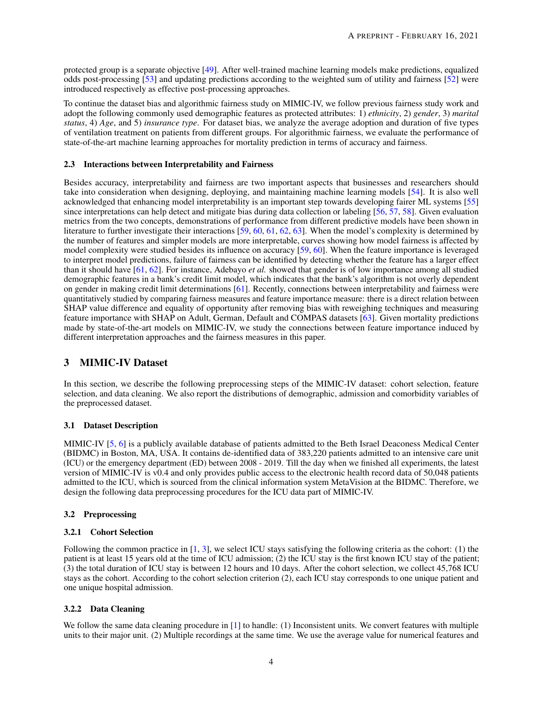protected group is a separate objective [\[49\]](#page-20-2). After well-trained machine learning models make predictions, equalized odds post-processing [\[53\]](#page-20-6) and updating predictions according to the weighted sum of utility and fairness [\[52\]](#page-20-5) were introduced respectively as effective post-processing approaches.

To continue the dataset bias and algorithmic fairness study on MIMIC-IV, we follow previous fairness study work and adopt the following commonly used demographic features as protected attributes: 1) *ethnicity*, 2) *gender*, 3) *marital status*, 4) *Age*, and 5) *insurance type*. For dataset bias, we analyze the average adoption and duration of five types of ventilation treatment on patients from different groups. For algorithmic fairness, we evaluate the performance of state-of-the-art machine learning approaches for mortality prediction in terms of accuracy and fairness.

#### 2.3 Interactions between Interpretability and Fairness

Besides accuracy, interpretability and fairness are two important aspects that businesses and researchers should take into consideration when designing, deploying, and maintaining machine learning models [\[54\]](#page-20-7). It is also well acknowledged that enhancing model interpretability is an important step towards developing fairer ML systems [\[55\]](#page-20-8) since interpretations can help detect and mitigate bias during data collection or labeling [\[56,](#page-20-9) [57,](#page-20-10) [58\]](#page-20-11). Given evaluation metrics from the two concepts, demonstrations of performance from different predictive models have been shown in literature to further investigate their interactions [\[59,](#page-20-12) [60,](#page-20-13) [61,](#page-20-14) [62,](#page-20-15) [63\]](#page-20-16). When the model's complexity is determined by the number of features and simpler models are more interpretable, curves showing how model fairness is affected by model complexity were studied besides its influence on accuracy [\[59,](#page-20-12) [60\]](#page-20-13). When the feature importance is leveraged to interpret model predictions, failure of fairness can be identified by detecting whether the feature has a larger effect than it should have [\[61,](#page-20-14) [62\]](#page-20-15). For instance, Adebayo *et al.* showed that gender is of low importance among all studied demographic features in a bank's credit limit model, which indicates that the bank's algorithm is not overly dependent on gender in making credit limit determinations [\[61\]](#page-20-14). Recently, connections between interpretability and fairness were quantitatively studied by comparing fairness measures and feature importance measure: there is a direct relation between SHAP value difference and equality of opportunity after removing bias with reweighing techniques and measuring feature importance with SHAP on Adult, German, Default and COMPAS datasets [\[63\]](#page-20-16). Given mortality predictions made by state-of-the-art models on MIMIC-IV, we study the connections between feature importance induced by different interpretation approaches and the fairness measures in this paper.

## 3 MIMIC-IV Dataset

In this section, we describe the following preprocessing steps of the MIMIC-IV dataset: cohort selection, feature selection, and data cleaning. We also report the distributions of demographic, admission and comorbidity variables of the preprocessed dataset.

#### 3.1 Dataset Description

MIMIC-IV [\[5,](#page-18-4) [6\]](#page-18-5) is a publicly available database of patients admitted to the Beth Israel Deaconess Medical Center (BIDMC) in Boston, MA, USA. It contains de-identified data of 383,220 patients admitted to an intensive care unit (ICU) or the emergency department (ED) between 2008 - 2019. Till the day when we finished all experiments, the latest version of MIMIC-IV is v0.4 and only provides public access to the electronic health record data of 50,048 patients admitted to the ICU, which is sourced from the clinical information system MetaVision at the BIDMC. Therefore, we design the following data preprocessing procedures for the ICU data part of MIMIC-IV.

#### 3.2 Preprocessing

## 3.2.1 Cohort Selection

Following the common practice in [\[1,](#page-18-0) [3\]](#page-18-2), we select ICU stays satisfying the following criteria as the cohort: (1) the patient is at least 15 years old at the time of ICU admission; (2) the ICU stay is the first known ICU stay of the patient; (3) the total duration of ICU stay is between 12 hours and 10 days. After the cohort selection, we collect 45,768 ICU stays as the cohort. According to the cohort selection criterion (2), each ICU stay corresponds to one unique patient and one unique hospital admission.

#### 3.2.2 Data Cleaning

We follow the same data cleaning procedure in  $[1]$  to handle: (1) Inconsistent units. We convert features with multiple units to their major unit. (2) Multiple recordings at the same time. We use the average value for numerical features and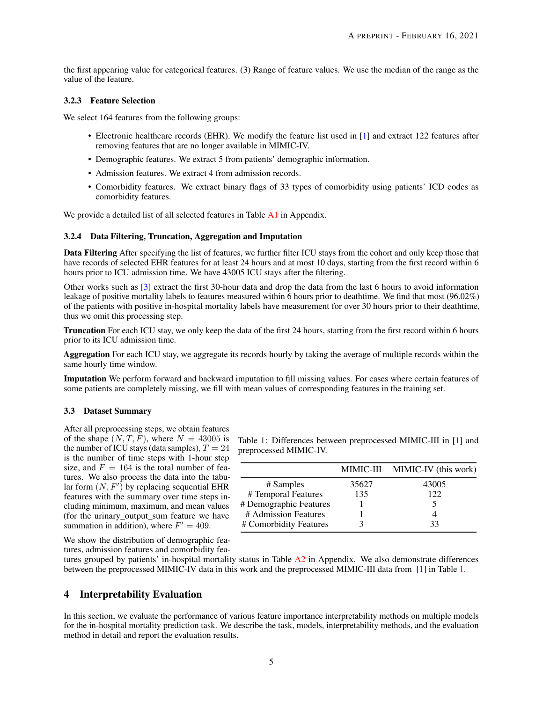the first appearing value for categorical features. (3) Range of feature values. We use the median of the range as the value of the feature.

#### 3.2.3 Feature Selection

We select 164 features from the following groups:

- Electronic healthcare records (EHR). We modify the feature list used in [\[1\]](#page-18-0) and extract 122 features after removing features that are no longer available in MIMIC-IV.
- Demographic features. We extract 5 from patients' demographic information.
- Admission features. We extract 4 from admission records.
- Comorbidity features. We extract binary flags of 33 types of comorbidity using patients' ICD codes as comorbidity features.

We provide a detailed list of all selected features in Table [A1](#page-22-0) in Appendix.

#### 3.2.4 Data Filtering, Truncation, Aggregation and Imputation

Data Filtering After specifying the list of features, we further filter ICU stays from the cohort and only keep those that have records of selected EHR features for at least 24 hours and at most 10 days, starting from the first record within 6 hours prior to ICU admission time. We have 43005 ICU stays after the filtering.

Other works such as [\[3\]](#page-18-2) extract the first 30-hour data and drop the data from the last 6 hours to avoid information leakage of positive mortality labels to features measured within 6 hours prior to deathtime. We find that most (96.02%) of the patients with positive in-hospital mortality labels have measurement for over 30 hours prior to their deathtime, thus we omit this processing step.

Truncation For each ICU stay, we only keep the data of the first 24 hours, starting from the first record within 6 hours prior to its ICU admission time.

Aggregation For each ICU stay, we aggregate its records hourly by taking the average of multiple records within the same hourly time window.

Imputation We perform forward and backward imputation to fill missing values. For cases where certain features of some patients are completely missing, we fill with mean values of corresponding features in the training set.

#### 3.3 Dataset Summary

After all preprocessing steps, we obtain features of the shape  $(N, T, \overline{F})$ , where  $N = 43005$  is the number of ICU stays (data samples),  $T = 24$ is the number of time steps with 1-hour step size, and  $F = 164$  is the total number of features. We also process the data into the tabular form  $(N, F')$  by replacing sequential EHR features with the summary over time steps including minimum, maximum, and mean values (for the urinary\_output\_sum feature we have summation in addition), where  $F' = 409$ .

<span id="page-4-0"></span>Table 1: Differences between preprocessed MIMIC-III in [\[1\]](#page-18-0) and preprocessed MIMIC-IV.

|                        |       | MIMIC-III MIMIC-IV (this work) |
|------------------------|-------|--------------------------------|
| # Samples              | 35627 | 43005                          |
| # Temporal Features    | 135   | 122                            |
| # Demographic Features |       | 5                              |
| # Admission Features   |       |                                |
| # Comorbidity Features |       | 33                             |

We show the distribution of demographic features, admission features and comorbidity fea-

tures grouped by patients' in-hospital mortality status in Table  $A2$  in Appendix. We also demonstrate differences between the preprocessed MIMIC-IV data in this work and the preprocessed MIMIC-III data from [\[1\]](#page-18-0) in Table [1.](#page-4-0)

## 4 Interpretability Evaluation

In this section, we evaluate the performance of various feature importance interpretability methods on multiple models for the in-hospital mortality prediction task. We describe the task, models, interpretability methods, and the evaluation method in detail and report the evaluation results.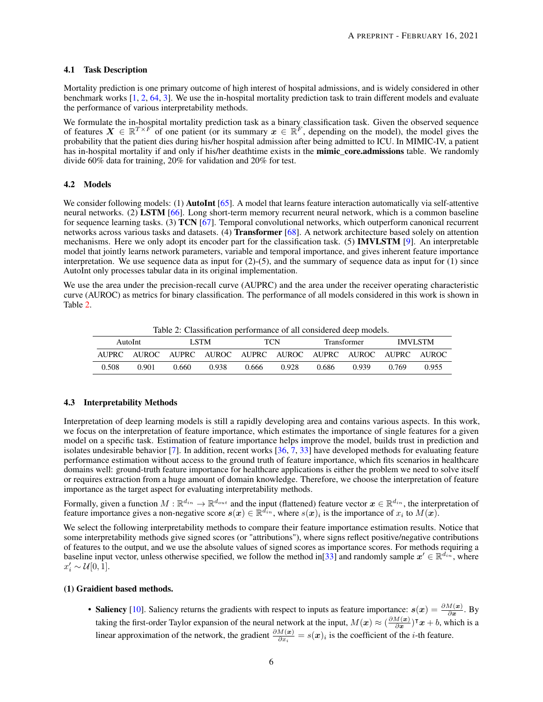#### 4.1 Task Description

Mortality prediction is one primary outcome of high interest of hospital admissions, and is widely considered in other benchmark works [\[1,](#page-18-0) [2,](#page-18-1) [64,](#page-20-17) [3\]](#page-18-2). We use the in-hospital mortality prediction task to train different models and evaluate the performance of various interpretability methods.

We formulate the in-hospital mortality prediction task as a binary classification task. Given the observed sequence of features  $X \in \mathbb{R}^{T \times F}$  of one patient (or its summary  $x \in \mathbb{R}^{F}$ , depending on the model), the model gives the probability that the patient dies during his/her hospital admission after being admitted to ICU. In MIMIC-IV, a patient has in-hospital mortality if and only if his/her deathtime exists in the mimic\_core.admissions table. We randomly divide 60% data for training, 20% for validation and 20% for test.

#### <span id="page-5-1"></span>4.2 Models

We consider following models: (1) **AutoInt** [\[65\]](#page-20-18). A model that learns feature interaction automatically via self-attentive neural networks. (2) LSTM [\[66\]](#page-20-19). Long short-term memory recurrent neural network, which is a common baseline for sequence learning tasks. (3) TCN [\[67\]](#page-20-20). Temporal convolutional networks, which outperform canonical recurrent networks across various tasks and datasets. (4) Transformer [\[68\]](#page-20-21). A network architecture based solely on attention mechanisms. Here we only adopt its encoder part for the classification task. (5) IMVLSTM [\[9\]](#page-18-8). An interpretable model that jointly learns network parameters, variable and temporal importance, and gives inherent feature importance interpretation. We use sequence data as input for  $(2)-(5)$ , and the summary of sequence data as input for  $(1)$  since AutoInt only processes tabular data in its original implementation.

<span id="page-5-0"></span>We use the area under the precision-recall curve (AUPRC) and the area under the receiver operating characteristic curve (AUROC) as metrics for binary classification. The performance of all models considered in this work is shown in Table [2.](#page-5-0)

Table 2: Classification performance of all considered deep models.

|       | AutoInt |       | LSTM. |       | TCN   |       | Transformer                                                 |       | <b>IMVLSTM</b> |
|-------|---------|-------|-------|-------|-------|-------|-------------------------------------------------------------|-------|----------------|
|       |         |       |       |       |       |       | AUPRC AUROC AUPRC AUROC AUPRC AUROC AUPRC AUROC AUPRC AUROC |       |                |
| 0.508 | 0.901   | 0.660 | 0.938 | 0.666 | 0.928 | 0.686 | 0.939                                                       | 0.769 | 0.955          |

#### 4.3 Interpretability Methods

Interpretation of deep learning models is still a rapidly developing area and contains various aspects. In this work, we focus on the interpretation of feature importance, which estimates the importance of single features for a given model on a specific task. Estimation of feature importance helps improve the model, builds trust in prediction and isolates undesirable behavior [\[7\]](#page-18-6). In addition, recent works  $[36, 7, 33]$  $[36, 7, 33]$  $[36, 7, 33]$  $[36, 7, 33]$  $[36, 7, 33]$  have developed methods for evaluating feature performance estimation without access to the ground truth of feature importance, which fits scenarios in healthcare domains well: ground-truth feature importance for healthcare applications is either the problem we need to solve itself or requires extraction from a huge amount of domain knowledge. Therefore, we choose the interpretation of feature importance as the target aspect for evaluating interpretability methods.

Formally, given a function  $M:\mathbb{R}^{d_{in}}\to\mathbb{R}^{d_{out}}$  and the input (flattened) feature vector  $x\in\mathbb{R}^{d_{in}}$ , the interpretation of feature importance gives a non-negative score  $s(x) \in \mathbb{R}^{d_{in}^r}$ , where  $s(x)_i$  is the importance of  $x_i$  to  $M(x)$ .

We select the following interpretability methods to compare their feature importance estimation results. Notice that some interpretability methods give signed scores (or "attributions"), where signs reflect positive/negative contributions of features to the output, and we use the absolute values of signed scores as importance scores. For methods requiring a baseline input vector, unless otherwise specified, we follow the method in [\[33\]](#page-19-8) and randomly sample  $x' \in \mathbb{R}^{d_{in}}$ , where  $x_i' \sim \mathcal{U}[0, 1].$ 

#### (1) Graidient based methods.

• Saliency [\[10\]](#page-18-9). Saliency returns the gradients with respect to inputs as feature importance:  $s(x) = \frac{\partial M(x)}{\partial x}$ . By taking the first-order Taylor expansion of the neural network at the input,  $M(x) \approx (\frac{\partial M(x)}{\partial x})$  $\frac{M(x)}{\partial x}$ )<sup>T</sup> $x + b$ , which is a linear approximation of the network, the gradient  $\frac{\partial M(x)}{\partial x_i} = s(x)_i$  is the coefficient of the *i*-th feature.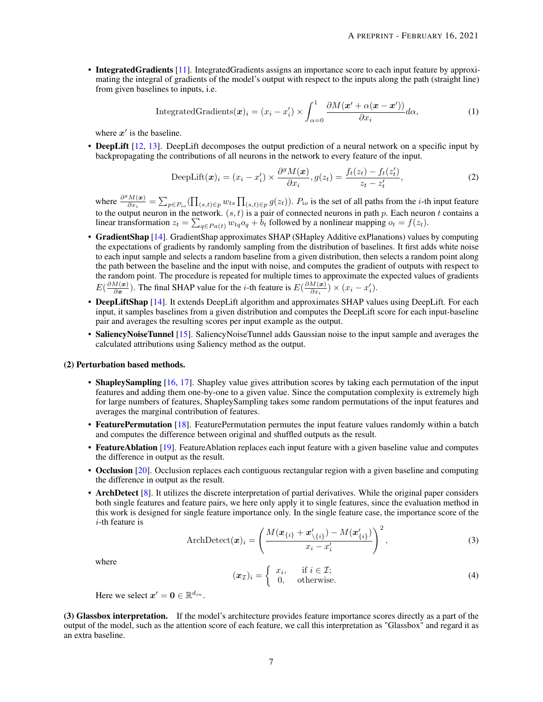• Integrated Gradients [\[11\]](#page-18-10). Integrated Gradients assigns an importance score to each input feature by approximating the integral of gradients of the model's output with respect to the inputs along the path (straight line) from given baselines to inputs, i.e.

IntegratedGradients
$$
(\boldsymbol{x})_i = (x_i - x'_i) \times \int_{\alpha=0}^1 \frac{\partial M(\boldsymbol{x}' + \alpha(\boldsymbol{x} - \boldsymbol{x}'))}{\partial x_i} d\alpha,
$$
 (1)

where  $x'$  is the baseline.

• DeepLift [\[12,](#page-18-11) [13\]](#page-18-12). DeepLift decomposes the output prediction of a neural network on a specific input by backpropagating the contributions of all neurons in the network to every feature of the input.

DeepLift
$$
(\boldsymbol{x})_i = (x_i - x'_i) \times \frac{\partial^g M(\boldsymbol{x})}{\partial x_i}, g(z_t) = \frac{f_t(z_t) - f_t(z'_t)}{z_t - z'_t},
$$
 (2)

where  $\frac{\partial^g M(x)}{\partial x}$  $\frac{M(\bm{x})}{\partial x_i} = \sum_{p \in P_{io}} (\prod_{(s,t) \in p} w_{ts} \prod_{(s,t) \in p} g(z_t)).$   $P_{io}$  is the set of all paths from the *i*-th input feature to the output neuron in the network.  $(s, t)$  is a pair of connected neurons in path p. Each neuron t contains a linear transformation  $z_t = \sum_{q \in Pa(t)} w_{tq} o_q + b_t$  followed by a nonlinear mapping  $o_t = f(z_t)$ .

- GradientShap [\[14\]](#page-18-13). GradientShap approximates SHAP (SHapley Additive exPlanations) values by computing the expectations of gradients by randomly sampling from the distribution of baselines. It first adds white noise to each input sample and selects a random baseline from a given distribution, then selects a random point along the path between the baseline and the input with noise, and computes the gradient of outputs with respect to the random point. The procedure is repeated for multiple times to approximate the expected values of gradients  $E(\frac{\partial M(\bm{x})}{\partial \bm{x}})$  $\frac{M(x)}{\partial x}$ ). The final SHAP value for the *i*-th feature is  $E(\frac{\partial M(x)}{\partial x_i})$  $\frac{M(\boldsymbol{x})}{\partial x_i}$ ) ×  $(x_i - x'_i)$ .
- DeepLiftShap [\[14\]](#page-18-13). It extends DeepLift algorithm and approximates SHAP values using DeepLift. For each input, it samples baselines from a given distribution and computes the DeepLift score for each input-baseline pair and averages the resulting scores per input example as the output.
- SaliencyNoiseTunnel [\[15\]](#page-18-14). SaliencyNoiseTunnel adds Gaussian noise to the input sample and averages the calculated attributions using Saliency method as the output.

#### (2) Perturbation based methods.

- ShapleySampling [\[16,](#page-18-15) [17\]](#page-18-16). Shapley value gives attribution scores by taking each permutation of the input features and adding them one-by-one to a given value. Since the computation complexity is extremely high for large numbers of features, ShapleySampling takes some random permutations of the input features and averages the marginal contribution of features.
- FeaturePermutation [\[18\]](#page-18-17). FeaturePermutation permutes the input feature values randomly within a batch and computes the difference between original and shuffled outputs as the result.
- FeatureAblation [\[19\]](#page-18-18). FeatureAblation replaces each input feature with a given baseline value and computes the difference in output as the result.
- Occlusion [\[20\]](#page-18-19). Occlusion replaces each contiguous rectangular region with a given baseline and computing the difference in output as the result.
- ArchDetect [\[8\]](#page-18-7). It utilizes the discrete interpretation of partial derivatives. While the original paper considers both single features and feature pairs, we here only apply it to single features, since the evaluation method in this work is designed for single feature importance only. In the single feature case, the importance score of the i-th feature is

ArchDetect
$$
(\boldsymbol{x})_i = \left(\frac{M(\boldsymbol{x}_{\{i\}} + \boldsymbol{x}'_{\{i\}}) - M(\boldsymbol{x}'_{\{i\}})}{\boldsymbol{x}_i - \boldsymbol{x}'_i}\right)^2,
$$
 (3)

where

$$
(\boldsymbol{x}_{\mathcal{I}})_i = \begin{cases} x_i, & \text{if } i \in \mathcal{I}; \\ 0, & \text{otherwise.} \end{cases}
$$
 (4)

Here we select  $x' = 0 \in \mathbb{R}^{d_{in}}$ .

(3) Glassbox interpretation. If the model's architecture provides feature importance scores directly as a part of the output of the model, such as the attention score of each feature, we call this interpretation as "Glassbox" and regard it as an extra baseline.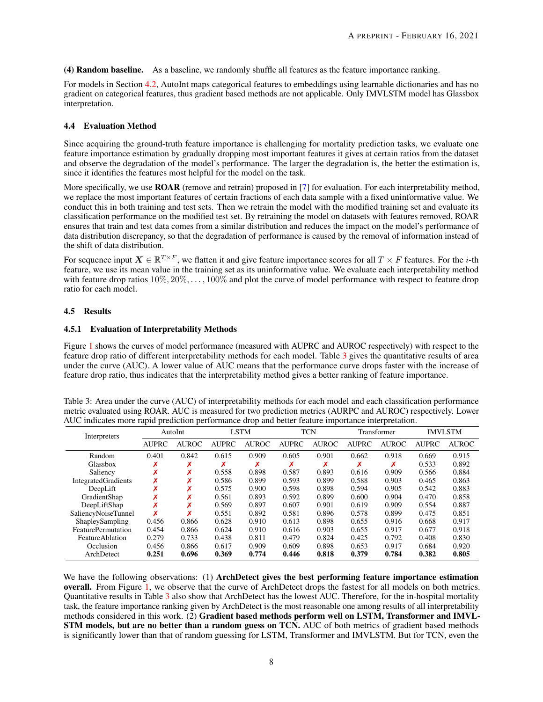(4) Random baseline. As a baseline, we randomly shuffle all features as the feature importance ranking.

For models in Section [4.2,](#page-5-1) AutoInt maps categorical features to embeddings using learnable dictionaries and has no gradient on categorical features, thus gradient based methods are not applicable. Only IMVLSTM model has Glassbox interpretation.

#### 4.4 Evaluation Method

Since acquiring the ground-truth feature importance is challenging for mortality prediction tasks, we evaluate one feature importance estimation by gradually dropping most important features it gives at certain ratios from the dataset and observe the degradation of the model's performance. The larger the degradation is, the better the estimation is, since it identifies the features most helpful for the model on the task.

More specifically, we use **ROAR** (remove and retrain) proposed in [\[7\]](#page-18-6) for evaluation. For each interpretability method, we replace the most important features of certain fractions of each data sample with a fixed uninformative value. We conduct this in both training and test sets. Then we retrain the model with the modified training set and evaluate its classification performance on the modified test set. By retraining the model on datasets with features removed, ROAR ensures that train and test data comes from a similar distribution and reduces the impact on the model's performance of data distribution discrepancy, so that the degradation of performance is caused by the removal of information instead of the shift of data distribution.

For sequence input  $X \in \mathbb{R}^{T \times F}$ , we flatten it and give feature importance scores for all  $T \times F$  features. For the *i*-th feature, we use its mean value in the training set as its uninformative value. We evaluate each interpretability method with feature drop ratios  $10\%, 20\%, \ldots, 100\%$  and plot the curve of model performance with respect to feature drop ratio for each model.

#### 4.5 Results

#### <span id="page-7-1"></span>4.5.1 Evaluation of Interpretability Methods

Figure [1](#page-9-0) shows the curves of model performance (measured with AUPRC and AUROC respectively) with respect to the feature drop ratio of different interpretability methods for each model. Table [3](#page-7-0) gives the quantitative results of area under the curve (AUC). A lower value of AUC means that the performance curve drops faster with the increase of feature drop ratio, thus indicates that the interpretability method gives a better ranking of feature importance.

<span id="page-7-0"></span>Table 3: Area under the curve (AUC) of interpretability methods for each model and each classification performance metric evaluated using ROAR. AUC is measured for two prediction metrics (AURPC and AUROC) respectively. Lower AUC indicates more rapid prediction performance drop and better feature importance interpretation.

| Interpreters               |              | AutoInt      |              | <b>LSTM</b>  |              | <b>TCN</b>   |              | Transformer  |              | <b>IMVLSTM</b> |
|----------------------------|--------------|--------------|--------------|--------------|--------------|--------------|--------------|--------------|--------------|----------------|
|                            | <b>AUPRC</b> | <b>AUROC</b> | <b>AUPRC</b> | <b>AUROC</b> | <b>AUPRC</b> | <b>AUROC</b> | <b>AUPRC</b> | <b>AUROC</b> | <b>AUPRC</b> | <b>AUROC</b>   |
| Random                     | 0.401        | 0.842        | 0.615        | 0.909        | 0.605        | 0.901        | 0.662        | 0.918        | 0.669        | 0.915          |
| Glassbox                   | ^            | ↗            | Х            |              |              |              |              | Х            | 0.533        | 0.892          |
| Saliency                   | ↗            | Х            | 0.558        | 0.898        | 0.587        | 0.893        | 0.616        | 0.909        | 0.566        | 0.884          |
| <b>IntegratedGradients</b> | Х            | v<br>́       | 0.586        | 0.899        | 0.593        | 0.899        | 0.588        | 0.903        | 0.465        | 0.863          |
| DeepLift                   | ↗            | v<br>↗       | 0.575        | 0.900        | 0.598        | 0.898        | 0.594        | 0.905        | 0.542        | 0.883          |
| GradientShap               |              | ́            | 0.561        | 0.893        | 0.592        | 0.899        | 0.600        | 0.904        | 0.470        | 0.858          |
| DeepLiftShap               |              | v            | 0.569        | 0.897        | 0.607        | 0.901        | 0.619        | 0.909        | 0.554        | 0.887          |
| SaliencyNoiseTunnel        | x            | v            | 0.551        | 0.892        | 0.581        | 0.896        | 0.578        | 0.899        | 0.475        | 0.851          |
| ShapleySampling            | 0.456        | 0.866        | 0.628        | 0.910        | 0.613        | 0.898        | 0.655        | 0.916        | 0.668        | 0.917          |
| <b>FeaturePermutation</b>  | 0.454        | 0.866        | 0.624        | 0.910        | 0.616        | 0.903        | 0.655        | 0.917        | 0.677        | 0.918          |
| FeatureAblation            | 0.279        | 0.733        | 0.438        | 0.811        | 0.479        | 0.824        | 0.425        | 0.792        | 0.408        | 0.830          |
| Occlusion                  | 0.456        | 0.866        | 0.617        | 0.909        | 0.609        | 0.898        | 0.653        | 0.917        | 0.684        | 0.920          |
| ArchDetect                 | 0.251        | 0.696        | 0.369        | 0.774        | 0.446        | 0.818        | 0.379        | 0.784        | 0.382        | 0.805          |
|                            |              |              |              |              |              |              |              |              |              |                |

We have the following observations: (1) ArchDetect gives the best performing feature importance estimation overall. From Figure [1,](#page-9-0) we observe that the curve of ArchDetect drops the fastest for all models on both metrics. Quantitative results in Table [3](#page-7-0) also show that ArchDetect has the lowest AUC. Therefore, for the in-hospital mortality task, the feature importance ranking given by ArchDetect is the most reasonable one among results of all interpretability methods considered in this work. (2) Gradient based methods perform well on LSTM, Transformer and IMVL-STM models, but are no better than a random guess on TCN. AUC of both metrics of gradient based methods is significantly lower than that of random guessing for LSTM, Transformer and IMVLSTM. But for TCN, even the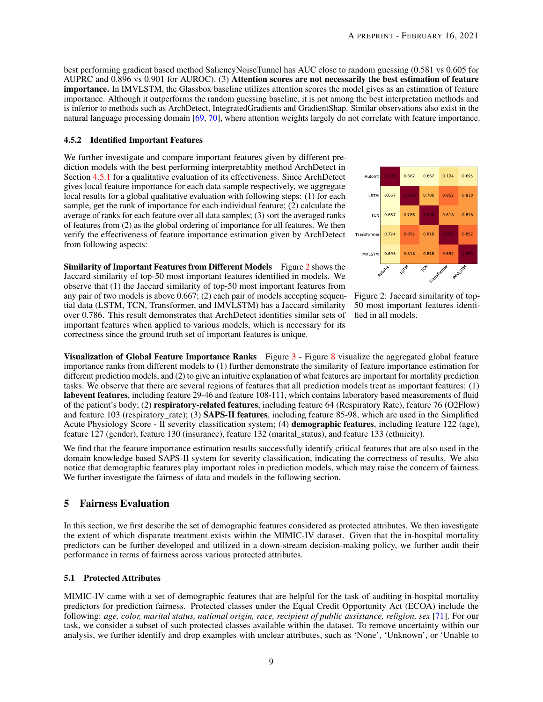best performing gradient based method SaliencyNoiseTunnel has AUC close to random guessing (0.581 vs 0.605 for AUPRC and 0.896 vs 0.901 for AUROC). (3) Attention scores are not necessarily the best estimation of feature importance. In IMVLSTM, the Glassbox baseline utilizes attention scores the model gives as an estimation of feature importance. Although it outperforms the random guessing baseline, it is not among the best interpretation methods and is inferior to methods such as ArchDetect, IntegratedGradients and GradientShap. Similar observations also exist in the natural language processing domain [\[69,](#page-21-0) [70\]](#page-21-1), where attention weights largely do not correlate with feature importance.

#### 4.5.2 Identified Important Features

We further investigate and compare important features given by different prediction models with the best performing interpretablity method ArchDetect in Section [4.5.1](#page-7-1) for a qualitative evaluation of its effectiveness. Since ArchDetect gives local feature importance for each data sample respectively, we aggregate local results for a global qualitative evaluation with following steps: (1) for each sample, get the rank of importance for each individual feature; (2) calculate the average of ranks for each feature over all data samples; (3) sort the averaged ranks of features from (2) as the global ordering of importance for all features. We then verify the effectiveness of feature importance estimation given by ArchDetect from following aspects:

Similarity of Important Features from Different Models Figure [2](#page-8-0) shows the Jaccard similarity of top-50 most important features identified in models. We observe that (1) the Jaccard similarity of top-50 most important features from any pair of two models is above 0.667; (2) each pair of models accepting sequential data (LSTM, TCN, Transformer, and IMVLSTM) has a Jaccard similarity over 0.786. This result demonstrates that ArchDetect identifies similar sets of important features when applied to various models, which is necessary for its correctness since the ground truth set of important features is unique.

<span id="page-8-0"></span>

Figure 2: Jaccard similarity of top-50 most important features identified in all models.

Visualization of Global Feature Importance Ranks Figure [3](#page-10-0) - Figure [8](#page-11-0) visualize the aggregated global feature importance ranks from different models to (1) further demonstrate the similarity of feature importance estimation for different prediction models, and (2) to give an intuitive explanation of what features are important for mortality prediction tasks. We observe that there are several regions of features that all prediction models treat as important features: (1) labevent features, including feature 29-46 and feature 108-111, which contains laboratory based measurements of fluid of the patient's body; (2) respiratory-related features, including feature 64 (Respiratory Rate), feature 76 (O2Flow) and feature 103 (respiratory\_rate); (3) SAPS-II features, including feature 85-98, which are used in the Simplified Acute Physiology Score - II severity classification system; (4) demographic features, including feature 122 (age), feature 127 (gender), feature 130 (insurance), feature 132 (marital\_status), and feature 133 (ethnicity).

We find that the feature importance estimation results successfully identify critical features that are also used in the domain knowledge based SAPS-II system for severity classification, indicating the correctness of results. We also notice that demographic features play important roles in prediction models, which may raise the concern of fairness. We further investigate the fairness of data and models in the following section.

## 5 Fairness Evaluation

In this section, we first describe the set of demographic features considered as protected attributes. We then investigate the extent of which disparate treatment exists within the MIMIC-IV dataset. Given that the in-hospital mortality predictors can be further developed and utilized in a down-stream decision-making policy, we further audit their performance in terms of fairness across various protected attributes.

## 5.1 Protected Attributes

MIMIC-IV came with a set of demographic features that are helpful for the task of auditing in-hospital mortality predictors for prediction fairness. Protected classes under the Equal Credit Opportunity Act (ECOA) include the following: *age, color, marital status, national origin, race, recipient of public assistance, religion, sex* [\[71\]](#page-21-2). For our task, we consider a subset of such protected classes available within the dataset. To remove uncertainty within our analysis, we further identify and drop examples with unclear attributes, such as 'None', 'Unknown', or 'Unable to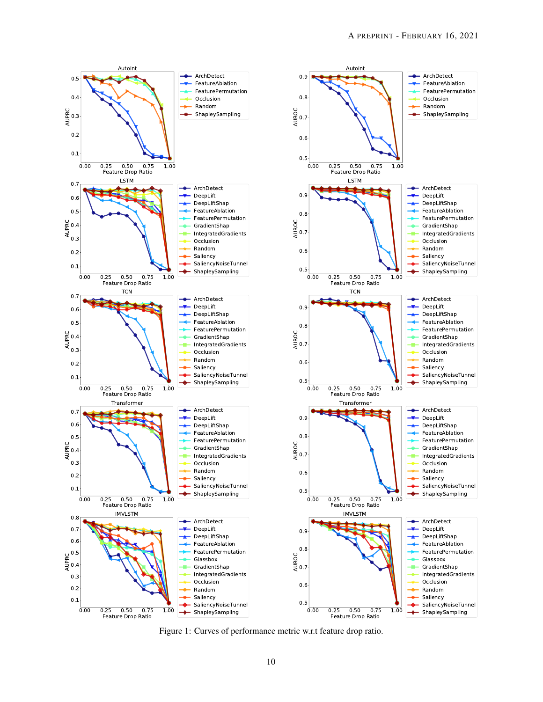ArchDetect FeatureAblation FeaturePermutation Occlusion Random ShapleySampling

> ArchDetect DeepLift DeepLiftShap FeatureAblation FeaturePermutation GradientShap IntegratedGradients Occlusion Random Saliency

SaliencyNoiseTunnel ShapleySampling

- ArchDetect DeepLift DeepLiftShap FeatureAblation FeaturePermutation GradientShap IntegratedGradients Occlusion Random Saliency SaliencyNoiseTunnel ShapleySampling

حما

**+** ArchDetect DeepLift DeepLiftShap FeatureAblation FeaturePermutation GradientShap IntegratedGradients Occlusion Random Saliency

> SaliencyNoiseTunnel ShapleySampling

SaliencyNoiseTunnel ShapleySampling

- ArchDetect DeepLift DeepLiftShap FeatureAblation FeaturePermutation Glassbox GradientShap IntegratedGradients Occlusion Random Saliency

 $\leftarrow$ 

<span id="page-9-0"></span>

Figure 1: Curves of performance metric w.r.t feature drop ratio.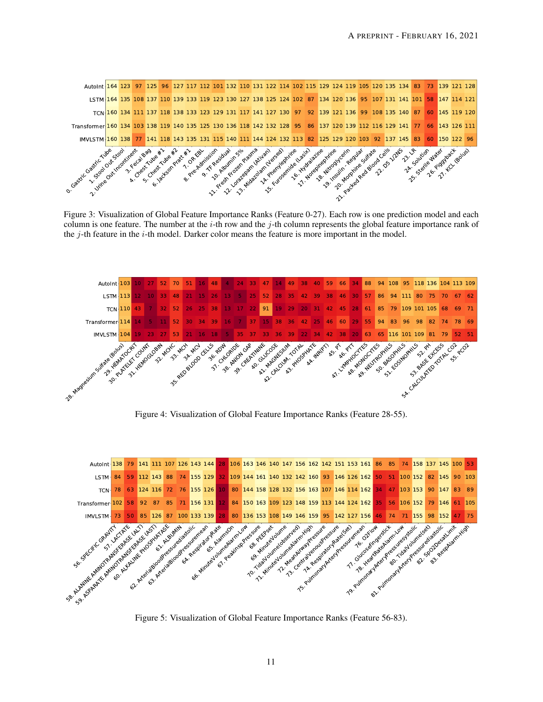<span id="page-10-0"></span>

Figure 3: Visualization of Global Feature Importance Ranks (Feature 0-27). Each row is one prediction model and each column is one feature. The number at the i-th row and the j-th column represents the global feature importance rank of the  $i$ -th feature in the  $i$ -th model. Darker color means the feature is more important in the model.



Figure 4: Visualization of Global Feature Importance Ranks (Feature 28-55).



Figure 5: Visualization of Global Feature Importance Ranks (Feature 56-83).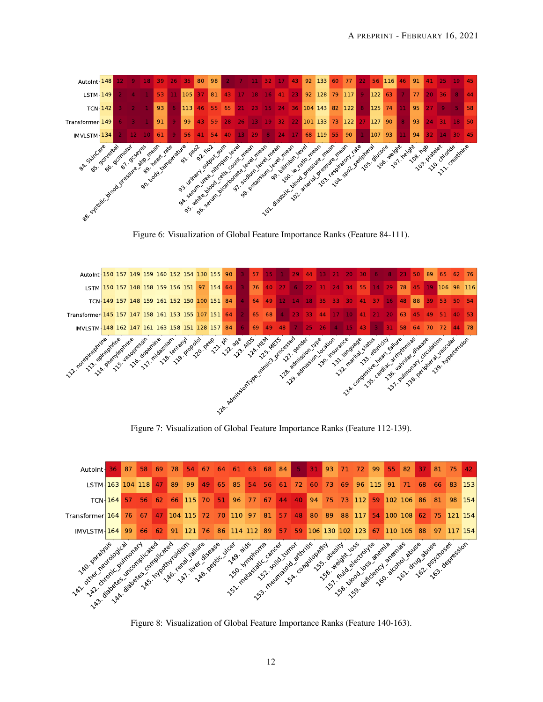

Figure 6: Visualization of Global Feature Importance Ranks (Feature 84-111).



Figure 7: Visualization of Global Feature Importance Ranks (Feature 112-139).

<span id="page-11-0"></span>

Figure 8: Visualization of Global Feature Importance Ranks (Feature 140-163).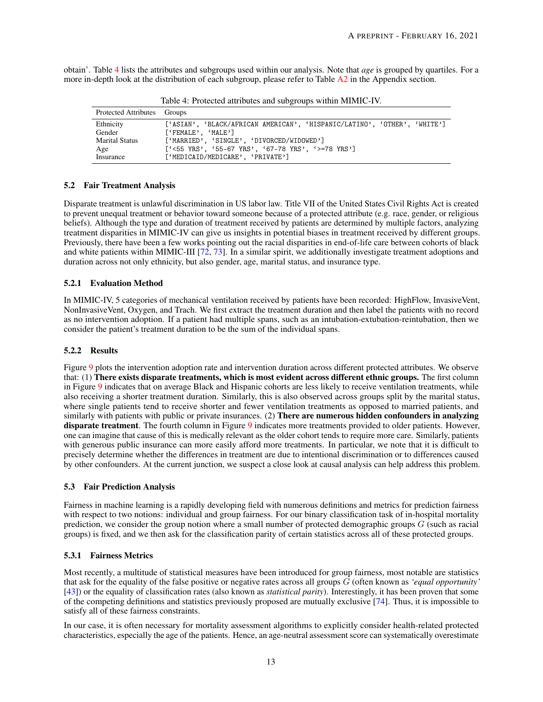<span id="page-12-0"></span>obtain'. Table [4](#page-12-0) lists the attributes and subgroups used within our analysis. Note that *age* is grouped by quartiles. For a more in-depth look at the distribution of each subgroup, please refer to Table  $A2$  in the Appendix section.

| Protected Attributes Groups |                                                                          |
|-----------------------------|--------------------------------------------------------------------------|
| Ethnicity                   | ['ASIAN', 'BLACK/AFRICAN AMERICAN', 'HISPANIC/LATINO', 'OTHER', 'WHITE'] |
| Gender                      | ['FEMALE', 'MALE']                                                       |
| <b>Marital Status</b>       | ['MARRIED', 'SINGLE', 'DIVORCED/WIDOWED']                                |
| Age                         | $[$ '<55 YRS', '55-67 YRS', '67-78 YRS', '>=78 YRS']                     |
| Insurance                   | ['MEDICAID/MEDICARE', 'PRIVATE']                                         |

Table 4: Protected attributes and subgroups within MIMIC-IV.

#### 5.2 Fair Treatment Analysis

Disparate treatment is unlawful discrimination in US labor law. Title VII of the United States Civil Rights Act is created to prevent unequal treatment or behavior toward someone because of a protected attribute (e.g. race, gender, or religious beliefs). Although the type and duration of treatment received by patients are determined by multiple factors, analyzing treatment disparities in MIMIC-IV can give us insights in potential biases in treatment received by different groups. Previously, there have been a few works pointing out the racial disparities in end-of-life care between cohorts of black and white patients within MIMIC-III  $[72, 73]$  $[72, 73]$  $[72, 73]$ . In a similar spirit, we additionally investigate treatment adoptions and duration across not only ethnicity, but also gender, age, marital status, and insurance type.

#### 5.2.1 Evaluation Method

In MIMIC-IV, 5 categories of mechanical ventilation received by patients have been recorded: HighFlow, InvasiveVent, NonInvasiveVent, Oxygen, and Trach. We first extract the treatment duration and then label the patients with no record as no intervention adoption. If a patient had multiple spans, such as an intubation-extubation-reintubation, then we consider the patient's treatment duration to be the sum of the individual spans.

#### 5.2.2 Results

Figure [9](#page-13-0) plots the intervention adoption rate and intervention duration across different protected attributes. We observe that: (1) There exists disparate treatments, which is most evident across different ethnic groups. The first column in Figure [9](#page-13-0) indicates that on average Black and Hispanic cohorts are less likely to receive ventilation treatments, while also receiving a shorter treatment duration. Similarly, this is also observed across groups split by the marital status, where single patients tend to receive shorter and fewer ventilation treatments as opposed to married patients, and similarly with patients with public or private insurances. (2) There are numerous hidden confounders in analyzing disparate treatment. The fourth column in Figure [9](#page-13-0) indicates more treatments provided to older patients. However, one can imagine that cause of this is medically relevant as the older cohort tends to require more care. Similarly, patients with generous public insurance can more easily afford more treatments. In particular, we note that it is difficult to precisely determine whether the differences in treatment are due to intentional discrimination or to differences caused by other confounders. At the current junction, we suspect a close look at causal analysis can help address this problem.

#### 5.3 Fair Prediction Analysis

Fairness in machine learning is a rapidly developing field with numerous definitions and metrics for prediction fairness with respect to two notions: individual and group fairness. For our binary classification task of in-hospital mortality prediction, we consider the group notion where a small number of protected demographic groups  $G$  (such as racial groups) is fixed, and we then ask for the classification parity of certain statistics across all of these protected groups.

## 5.3.1 Fairness Metrics

Most recently, a multitude of statistical measures have been introduced for group fairness, most notable are statistics that ask for the equality of the false positive or negative rates across all groups G (often known as *'equal opportunity'* [\[43\]](#page-19-18)) or the equality of classification rates (also known as *statistical parity*). Interestingly, it has been proven that some of the competing definitions and statistics previously proposed are mutually exclusive [\[74\]](#page-21-5). Thus, it is impossible to satisfy all of these fairness constraints.

In our case, it is often necessary for mortality assessment algorithms to explicitly consider health-related protected characteristics, especially the age of the patients. Hence, an age-neutral assessment score can systematically overestimate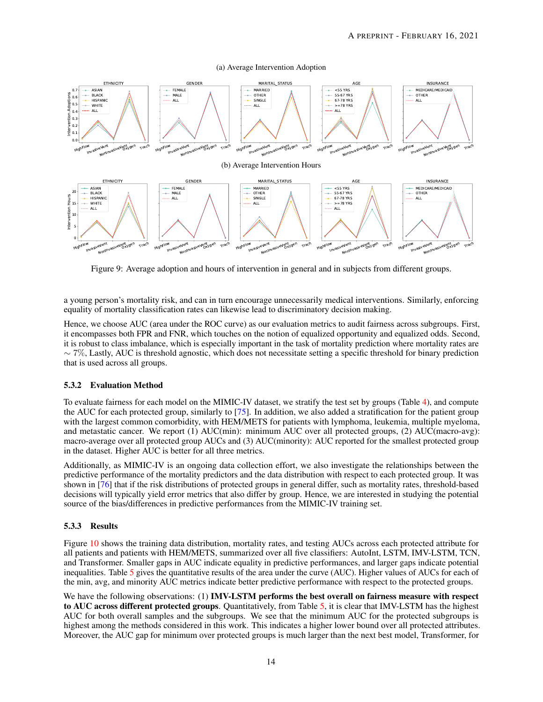#### (a) Average Intervention Adoption

<span id="page-13-0"></span>

Figure 9: Average adoption and hours of intervention in general and in subjects from different groups.

a young person's mortality risk, and can in turn encourage unnecessarily medical interventions. Similarly, enforcing equality of mortality classification rates can likewise lead to discriminatory decision making.

Hence, we choose AUC (area under the ROC curve) as our evaluation metrics to audit fairness across subgroups. First, it encompasses both FPR and FNR, which touches on the notion of equalized opportunity and equalized odds. Second, it is robust to class imbalance, which is especially important in the task of mortality prediction where mortality rates are  $\sim$  7%, Lastly, AUC is threshold agnostic, which does not necessitate setting a specific threshold for binary prediction that is used across all groups.

## 5.3.2 Evaluation Method

To evaluate fairness for each model on the MIMIC-IV dataset, we stratify the test set by groups (Table [4\)](#page-12-0), and compute the AUC for each protected group, similarly to [\[75\]](#page-21-6). In addition, we also added a stratification for the patient group with the largest common comorbidity, with HEM/METS for patients with lymphoma, leukemia, multiple myeloma, and metastatic cancer. We report (1) AUC(min): minimum AUC over all protected groups, (2) AUC(macro-avg): macro-average over all protected group AUCs and (3) AUC(minority): AUC reported for the smallest protected group in the dataset. Higher AUC is better for all three metrics.

Additionally, as MIMIC-IV is an ongoing data collection effort, we also investigate the relationships between the predictive performance of the mortality predictors and the data distribution with respect to each protected group. It was shown in [\[76\]](#page-21-7) that if the risk distributions of protected groups in general differ, such as mortality rates, threshold-based decisions will typically yield error metrics that also differ by group. Hence, we are interested in studying the potential source of the bias/differences in predictive performances from the MIMIC-IV training set.

#### 5.3.3 Results

Figure [10](#page-14-0) shows the training data distribution, mortality rates, and testing AUCs across each protected attribute for all patients and patients with HEM/METS, summarized over all five classifiers: AutoInt, LSTM, IMV-LSTM, TCN, and Transformer. Smaller gaps in AUC indicate equality in predictive performances, and larger gaps indicate potential inequalities. Table [5](#page-14-1) gives the quantitative results of the area under the curve (AUC). Higher values of AUCs for each of the min, avg, and minority AUC metrics indicate better predictive performance with respect to the protected groups.

We have the following observations: (1) **IMV-LSTM performs the best overall on fairness measure with respect** to AUC across different protected groups. Quantitatively, from Table [5,](#page-14-1) it is clear that IMV-LSTM has the highest AUC for both overall samples and the subgroups. We see that the minimum AUC for the protected subgroups is highest among the methods considered in this work. This indicates a higher lower bound over all protected attributes. Moreover, the AUC gap for minimum over protected groups is much larger than the next best model, Transformer, for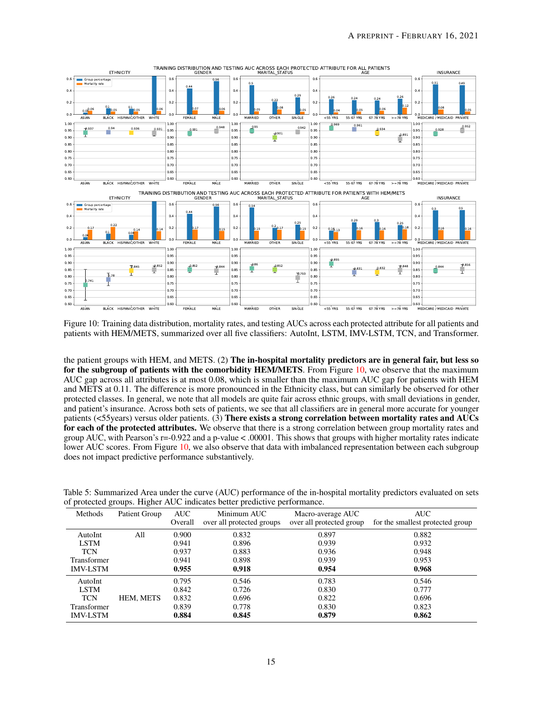<span id="page-14-0"></span>

Figure 10: Training data distribution, mortality rates, and testing AUCs across each protected attribute for all patients and patients with HEM/METS, summarized over all five classifiers: AutoInt, LSTM, IMV-LSTM, TCN, and Transformer.

the patient groups with HEM, and METS. (2) The in-hospital mortality predictors are in general fair, but less so for the subgroup of patients with the comorbidity HEM/METS. From Figure [10,](#page-14-0) we observe that the maximum AUC gap across all attributes is at most 0.08, which is smaller than the maximum AUC gap for patients with HEM and METS at 0.11. The difference is more pronounced in the Ethnicity class, but can similarly be observed for other protected classes. In general, we note that all models are quite fair across ethnic groups, with small deviations in gender, and patient's insurance. Across both sets of patients, we see that all classifiers are in general more accurate for younger patients (<55years) versus older patients. (3) There exists a strong correlation between mortality rates and AUCs for each of the protected attributes. We observe that there is a strong correlation between group mortality rates and group AUC, with Pearson's r=-0.922 and a p-value < .00001. This shows that groups with higher mortality rates indicate lower AUC scores. From Figure [10,](#page-14-0) we also observe that data with imbalanced representation between each subgroup does not impact predictive performance substantively.

| Methods         | Patient Group | AUC<br>Overall | Minimum AUC<br>over all protected groups | Macro-average AUC<br>over all protected group | AUC<br>for the smallest protected group |
|-----------------|---------------|----------------|------------------------------------------|-----------------------------------------------|-----------------------------------------|
| AutoInt         | All           | 0.900          | 0.832                                    | 0.897                                         | 0.882                                   |
| <b>LSTM</b>     |               | 0.941          | 0.896                                    | 0.939                                         | 0.932                                   |
| <b>TCN</b>      |               | 0.937          | 0.883                                    | 0.936                                         | 0.948                                   |
| Transformer     |               | 0.941          | 0.898                                    | 0.939                                         | 0.953                                   |
| <b>IMV-LSTM</b> |               | 0.955          | 0.918                                    | 0.954                                         | 0.968                                   |
| AutoInt         | HEM, METS     | 0.795          | 0.546                                    | 0.783                                         | 0.546                                   |
| <b>LSTM</b>     |               | 0.842          | 0.726                                    | 0.830                                         | 0.777                                   |
| <b>TCN</b>      |               | 0.832          | 0.696                                    | 0.822                                         | 0.696                                   |
| Transformer     |               | 0.839          | 0.778                                    | 0.830                                         | 0.823                                   |
| <b>IMV-LSTM</b> |               | 0.884          | 0.845                                    | 0.879                                         | 0.862                                   |

<span id="page-14-1"></span>Table 5: Summarized Area under the curve (AUC) performance of the in-hospital mortality predictors evaluated on sets of protected groups. Higher AUC indicates better predictive performance.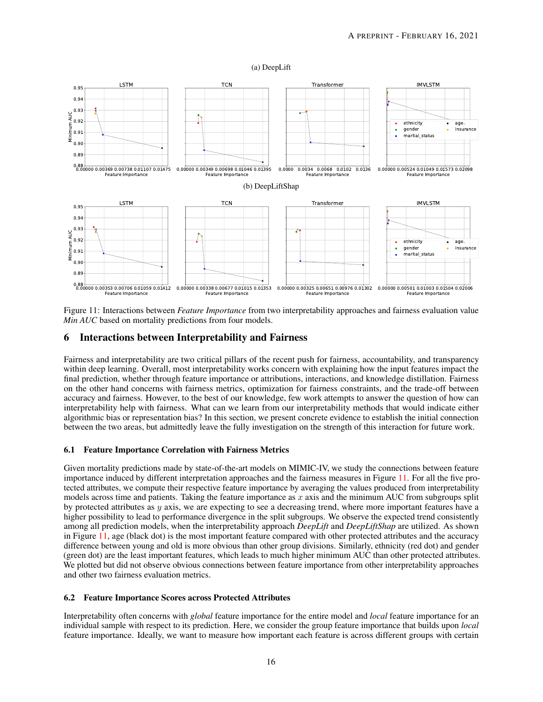#### (a) DeepLift

<span id="page-15-0"></span>

Figure 11: Interactions between *Feature Importance* from two interpretability approaches and fairness evaluation value *Min AUC* based on mortality predictions from four models.

#### 6 Interactions between Interpretability and Fairness

Fairness and interpretability are two critical pillars of the recent push for fairness, accountability, and transparency within deep learning. Overall, most interpretability works concern with explaining how the input features impact the final prediction, whether through feature importance or attributions, interactions, and knowledge distillation. Fairness on the other hand concerns with fairness metrics, optimization for fairness constraints, and the trade-off between accuracy and fairness. However, to the best of our knowledge, few work attempts to answer the question of how can interpretability help with fairness. What can we learn from our interpretability methods that would indicate either algorithmic bias or representation bias? In this section, we present concrete evidence to establish the initial connection between the two areas, but admittedly leave the fully investigation on the strength of this interaction for future work.

#### 6.1 Feature Importance Correlation with Fairness Metrics

Given mortality predictions made by state-of-the-art models on MIMIC-IV, we study the connections between feature importance induced by different interpretation approaches and the fairness measures in Figure [11.](#page-15-0) For all the five protected attributes, we compute their respective feature importance by averaging the values produced from interpretability models across time and patients. Taking the feature importance as  $x$  axis and the minimum AUC from subgroups split by protected attributes as  $y$  axis, we are expecting to see a decreasing trend, where more important features have a higher possibility to lead to performance divergence in the split subgroups. We observe the expected trend consistently among all prediction models, when the interpretability approach *DeepLift* and *DeepLiftShap* are utilized. As shown in Figure [11,](#page-15-0) age (black dot) is the most important feature compared with other protected attributes and the accuracy difference between young and old is more obvious than other group divisions. Similarly, ethnicity (red dot) and gender (green dot) are the least important features, which leads to much higher minimum AUC than other protected attributes. We plotted but did not observe obvious connections between feature importance from other interpretability approaches and other two fairness evaluation metrics.

#### 6.2 Feature Importance Scores across Protected Attributes

Interpretability often concerns with *global* feature importance for the entire model and *local* feature importance for an individual sample with respect to its prediction. Here, we consider the group feature importance that builds upon *local* feature importance. Ideally, we want to measure how important each feature is across different groups with certain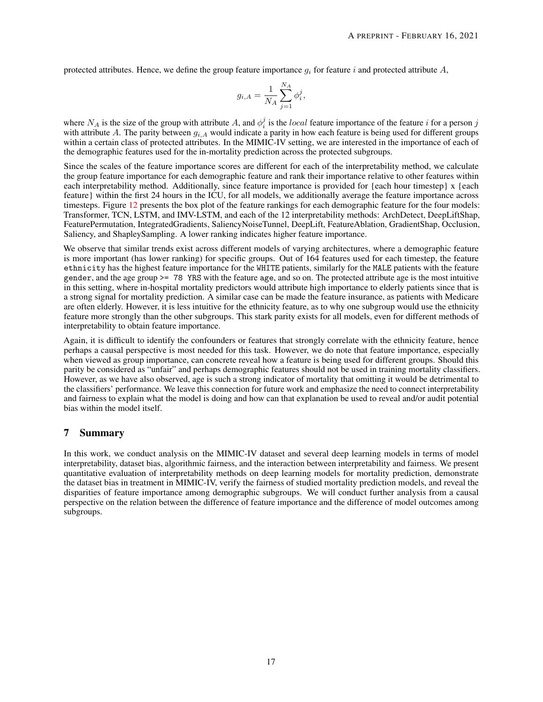protected attributes. Hence, we define the group feature importance  $q_i$  for feature i and protected attribute A,

$$
g_{i,A} = \frac{1}{N_A} \sum_{j=1}^{N_A} \phi_i^j,
$$

where  $N_A$  is the size of the group with attribute A, and  $\phi_i^j$  is the local feature importance of the feature i for a person j with attribute A. The parity between  $q_{i,A}$  would indicate a parity in how each feature is being used for different groups within a certain class of protected attributes. In the MIMIC-IV setting, we are interested in the importance of each of the demographic features used for the in-mortality prediction across the protected subgroups.

Since the scales of the feature importance scores are different for each of the interpretability method, we calculate the group feature importance for each demographic feature and rank their importance relative to other features within each interpretability method. Additionally, since feature importance is provided for {each hour timestep} x {each feature} within the first 24 hours in the ICU, for all models, we additionally average the feature importance across timesteps. Figure [12](#page-17-0) presents the box plot of the feature rankings for each demographic feature for the four models: Transformer, TCN, LSTM, and IMV-LSTM, and each of the 12 interpretability methods: ArchDetect, DeepLiftShap, FeaturePermutation, IntegratedGradients, SaliencyNoiseTunnel, DeepLift, FeatureAblation, GradientShap, Occlusion, Saliency, and ShapleySampling. A lower ranking indicates higher feature importance.

We observe that similar trends exist across different models of varying architectures, where a demographic feature is more important (has lower ranking) for specific groups. Out of 164 features used for each timestep, the feature ethnicity has the highest feature importance for the WHITE patients, similarly for the MALE patients with the feature gender, and the age group >= 78 YRS with the feature age, and so on. The protected attribute age is the most intuitive in this setting, where in-hospital mortality predictors would attribute high importance to elderly patients since that is a strong signal for mortality prediction. A similar case can be made the feature insurance, as patients with Medicare are often elderly. However, it is less intuitive for the ethnicity feature, as to why one subgroup would use the ethnicity feature more strongly than the other subgroups. This stark parity exists for all models, even for different methods of interpretability to obtain feature importance.

Again, it is difficult to identify the confounders or features that strongly correlate with the ethnicity feature, hence perhaps a causal perspective is most needed for this task. However, we do note that feature importance, especially when viewed as group importance, can concrete reveal how a feature is being used for different groups. Should this parity be considered as "unfair" and perhaps demographic features should not be used in training mortality classifiers. However, as we have also observed, age is such a strong indicator of mortality that omitting it would be detrimental to the classifiers' performance. We leave this connection for future work and emphasize the need to connect interpretability and fairness to explain what the model is doing and how can that explanation be used to reveal and/or audit potential bias within the model itself.

#### 7 Summary

In this work, we conduct analysis on the MIMIC-IV dataset and several deep learning models in terms of model interpretability, dataset bias, algorithmic fairness, and the interaction between interpretability and fairness. We present quantitative evaluation of interpretability methods on deep learning models for mortality prediction, demonstrate the dataset bias in treatment in MIMIC-IV, verify the fairness of studied mortality prediction models, and reveal the disparities of feature importance among demographic subgroups. We will conduct further analysis from a causal perspective on the relation between the difference of feature importance and the difference of model outcomes among subgroups.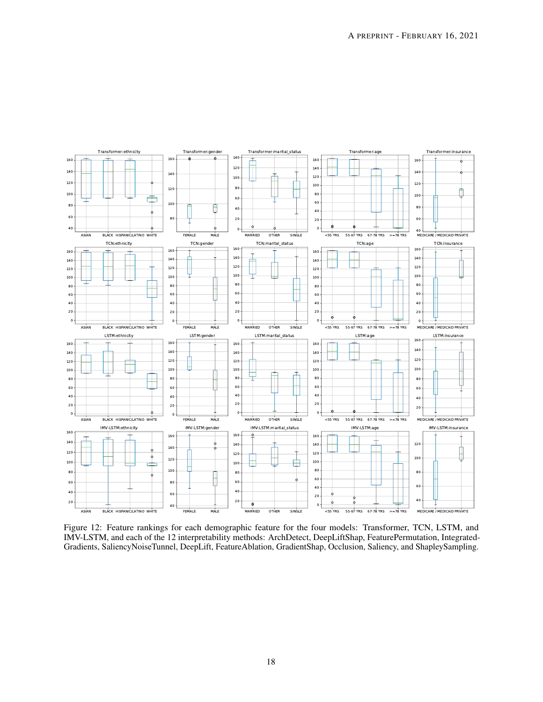<span id="page-17-0"></span>

Figure 12: Feature rankings for each demographic feature for the four models: Transformer, TCN, LSTM, and IMV-LSTM, and each of the 12 interpretability methods: ArchDetect, DeepLiftShap, FeaturePermutation, Integrated-Gradients, SaliencyNoiseTunnel, DeepLift, FeatureAblation, GradientShap, Occlusion, Saliency, and ShapleySampling.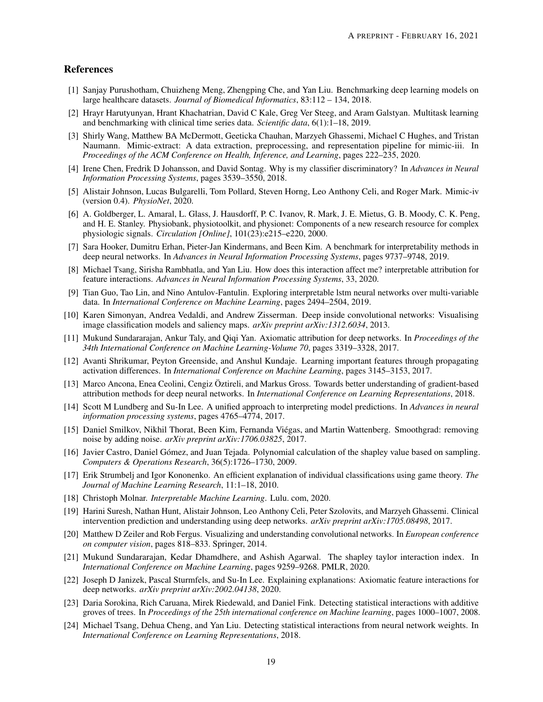## References

- <span id="page-18-0"></span>[1] Sanjay Purushotham, Chuizheng Meng, Zhengping Che, and Yan Liu. Benchmarking deep learning models on large healthcare datasets. *Journal of Biomedical Informatics*, 83:112 – 134, 2018.
- <span id="page-18-1"></span>[2] Hrayr Harutyunyan, Hrant Khachatrian, David C Kale, Greg Ver Steeg, and Aram Galstyan. Multitask learning and benchmarking with clinical time series data. *Scientific data*, 6(1):1–18, 2019.
- <span id="page-18-2"></span>[3] Shirly Wang, Matthew BA McDermott, Geeticka Chauhan, Marzyeh Ghassemi, Michael C Hughes, and Tristan Naumann. Mimic-extract: A data extraction, preprocessing, and representation pipeline for mimic-iii. In *Proceedings of the ACM Conference on Health, Inference, and Learning*, pages 222–235, 2020.
- <span id="page-18-3"></span>[4] Irene Chen, Fredrik D Johansson, and David Sontag. Why is my classifier discriminatory? In *Advances in Neural Information Processing Systems*, pages 3539–3550, 2018.
- <span id="page-18-4"></span>[5] Alistair Johnson, Lucas Bulgarelli, Tom Pollard, Steven Horng, Leo Anthony Celi, and Roger Mark. Mimic-iv (version 0.4). *PhysioNet*, 2020.
- <span id="page-18-5"></span>[6] A. Goldberger, L. Amaral, L. Glass, J. Hausdorff, P. C. Ivanov, R. Mark, J. E. Mietus, G. B. Moody, C. K. Peng, and H. E. Stanley. Physiobank, physiotoolkit, and physionet: Components of a new research resource for complex physiologic signals. *Circulation [Online]*, 101(23):e215–e220, 2000.
- <span id="page-18-6"></span>[7] Sara Hooker, Dumitru Erhan, Pieter-Jan Kindermans, and Been Kim. A benchmark for interpretability methods in deep neural networks. In *Advances in Neural Information Processing Systems*, pages 9737–9748, 2019.
- <span id="page-18-7"></span>[8] Michael Tsang, Sirisha Rambhatla, and Yan Liu. How does this interaction affect me? interpretable attribution for feature interactions. *Advances in Neural Information Processing Systems*, 33, 2020.
- <span id="page-18-8"></span>[9] Tian Guo, Tao Lin, and Nino Antulov-Fantulin. Exploring interpretable lstm neural networks over multi-variable data. In *International Conference on Machine Learning*, pages 2494–2504, 2019.
- <span id="page-18-9"></span>[10] Karen Simonyan, Andrea Vedaldi, and Andrew Zisserman. Deep inside convolutional networks: Visualising image classification models and saliency maps. *arXiv preprint arXiv:1312.6034*, 2013.
- <span id="page-18-10"></span>[11] Mukund Sundararajan, Ankur Taly, and Qiqi Yan. Axiomatic attribution for deep networks. In *Proceedings of the 34th International Conference on Machine Learning-Volume 70*, pages 3319–3328, 2017.
- <span id="page-18-11"></span>[12] Avanti Shrikumar, Peyton Greenside, and Anshul Kundaje. Learning important features through propagating activation differences. In *International Conference on Machine Learning*, pages 3145–3153, 2017.
- <span id="page-18-12"></span>[13] Marco Ancona, Enea Ceolini, Cengiz Öztireli, and Markus Gross. Towards better understanding of gradient-based attribution methods for deep neural networks. In *International Conference on Learning Representations*, 2018.
- <span id="page-18-13"></span>[14] Scott M Lundberg and Su-In Lee. A unified approach to interpreting model predictions. In *Advances in neural information processing systems*, pages 4765–4774, 2017.
- <span id="page-18-14"></span>[15] Daniel Smilkov, Nikhil Thorat, Been Kim, Fernanda Viégas, and Martin Wattenberg. Smoothgrad: removing noise by adding noise. *arXiv preprint arXiv:1706.03825*, 2017.
- <span id="page-18-15"></span>[16] Javier Castro, Daniel Gómez, and Juan Tejada. Polynomial calculation of the shapley value based on sampling. *Computers & Operations Research*, 36(5):1726–1730, 2009.
- <span id="page-18-16"></span>[17] Erik Strumbelj and Igor Kononenko. An efficient explanation of individual classifications using game theory. *The Journal of Machine Learning Research*, 11:1–18, 2010.
- <span id="page-18-17"></span>[18] Christoph Molnar. *Interpretable Machine Learning*. Lulu. com, 2020.
- <span id="page-18-18"></span>[19] Harini Suresh, Nathan Hunt, Alistair Johnson, Leo Anthony Celi, Peter Szolovits, and Marzyeh Ghassemi. Clinical intervention prediction and understanding using deep networks. *arXiv preprint arXiv:1705.08498*, 2017.
- <span id="page-18-19"></span>[20] Matthew D Zeiler and Rob Fergus. Visualizing and understanding convolutional networks. In *European conference on computer vision*, pages 818–833. Springer, 2014.
- <span id="page-18-20"></span>[21] Mukund Sundararajan, Kedar Dhamdhere, and Ashish Agarwal. The shapley taylor interaction index. In *International Conference on Machine Learning*, pages 9259–9268. PMLR, 2020.
- <span id="page-18-21"></span>[22] Joseph D Janizek, Pascal Sturmfels, and Su-In Lee. Explaining explanations: Axiomatic feature interactions for deep networks. *arXiv preprint arXiv:2002.04138*, 2020.
- <span id="page-18-22"></span>[23] Daria Sorokina, Rich Caruana, Mirek Riedewald, and Daniel Fink. Detecting statistical interactions with additive groves of trees. In *Proceedings of the 25th international conference on Machine learning*, pages 1000–1007, 2008.
- <span id="page-18-23"></span>[24] Michael Tsang, Dehua Cheng, and Yan Liu. Detecting statistical interactions from neural network weights. In *International Conference on Learning Representations*, 2018.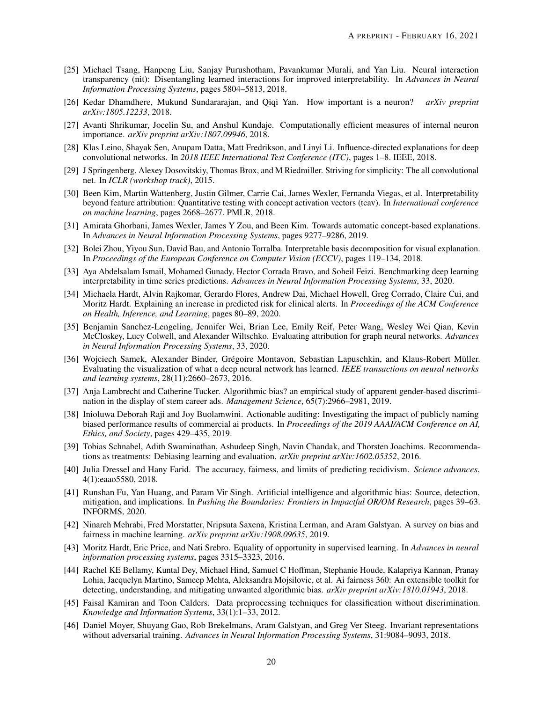- <span id="page-19-0"></span>[25] Michael Tsang, Hanpeng Liu, Sanjay Purushotham, Pavankumar Murali, and Yan Liu. Neural interaction transparency (nit): Disentangling learned interactions for improved interpretability. In *Advances in Neural Information Processing Systems*, pages 5804–5813, 2018.
- <span id="page-19-1"></span>[26] Kedar Dhamdhere, Mukund Sundararajan, and Qiqi Yan. How important is a neuron? *arXiv preprint arXiv:1805.12233*, 2018.
- <span id="page-19-2"></span>[27] Avanti Shrikumar, Jocelin Su, and Anshul Kundaje. Computationally efficient measures of internal neuron importance. *arXiv preprint arXiv:1807.09946*, 2018.
- <span id="page-19-3"></span>[28] Klas Leino, Shayak Sen, Anupam Datta, Matt Fredrikson, and Linyi Li. Influence-directed explanations for deep convolutional networks. In *2018 IEEE International Test Conference (ITC)*, pages 1–8. IEEE, 2018.
- <span id="page-19-4"></span>[29] J Springenberg, Alexey Dosovitskiy, Thomas Brox, and M Riedmiller. Striving for simplicity: The all convolutional net. In *ICLR (workshop track)*, 2015.
- <span id="page-19-5"></span>[30] Been Kim, Martin Wattenberg, Justin Gilmer, Carrie Cai, James Wexler, Fernanda Viegas, et al. Interpretability beyond feature attribution: Quantitative testing with concept activation vectors (tcav). In *International conference on machine learning*, pages 2668–2677. PMLR, 2018.
- <span id="page-19-6"></span>[31] Amirata Ghorbani, James Wexler, James Y Zou, and Been Kim. Towards automatic concept-based explanations. In *Advances in Neural Information Processing Systems*, pages 9277–9286, 2019.
- <span id="page-19-7"></span>[32] Bolei Zhou, Yiyou Sun, David Bau, and Antonio Torralba. Interpretable basis decomposition for visual explanation. In *Proceedings of the European Conference on Computer Vision (ECCV)*, pages 119–134, 2018.
- <span id="page-19-8"></span>[33] Aya Abdelsalam Ismail, Mohamed Gunady, Hector Corrada Bravo, and Soheil Feizi. Benchmarking deep learning interpretability in time series predictions. *Advances in Neural Information Processing Systems*, 33, 2020.
- <span id="page-19-9"></span>[34] Michaela Hardt, Alvin Rajkomar, Gerardo Flores, Andrew Dai, Michael Howell, Greg Corrado, Claire Cui, and Moritz Hardt. Explaining an increase in predicted risk for clinical alerts. In *Proceedings of the ACM Conference on Health, Inference, and Learning*, pages 80–89, 2020.
- <span id="page-19-10"></span>[35] Benjamin Sanchez-Lengeling, Jennifer Wei, Brian Lee, Emily Reif, Peter Wang, Wesley Wei Qian, Kevin McCloskey, Lucy Colwell, and Alexander Wiltschko. Evaluating attribution for graph neural networks. *Advances in Neural Information Processing Systems*, 33, 2020.
- <span id="page-19-11"></span>[36] Wojciech Samek, Alexander Binder, Grégoire Montavon, Sebastian Lapuschkin, and Klaus-Robert Müller. Evaluating the visualization of what a deep neural network has learned. *IEEE transactions on neural networks and learning systems*, 28(11):2660–2673, 2016.
- <span id="page-19-12"></span>[37] Anja Lambrecht and Catherine Tucker. Algorithmic bias? an empirical study of apparent gender-based discrimination in the display of stem career ads. *Management Science*, 65(7):2966–2981, 2019.
- <span id="page-19-13"></span>[38] Inioluwa Deborah Raji and Joy Buolamwini. Actionable auditing: Investigating the impact of publicly naming biased performance results of commercial ai products. In *Proceedings of the 2019 AAAI/ACM Conference on AI, Ethics, and Society*, pages 429–435, 2019.
- <span id="page-19-14"></span>[39] Tobias Schnabel, Adith Swaminathan, Ashudeep Singh, Navin Chandak, and Thorsten Joachims. Recommendations as treatments: Debiasing learning and evaluation. *arXiv preprint arXiv:1602.05352*, 2016.
- <span id="page-19-15"></span>[40] Julia Dressel and Hany Farid. The accuracy, fairness, and limits of predicting recidivism. *Science advances*, 4(1):eaao5580, 2018.
- <span id="page-19-16"></span>[41] Runshan Fu, Yan Huang, and Param Vir Singh. Artificial intelligence and algorithmic bias: Source, detection, mitigation, and implications. In *Pushing the Boundaries: Frontiers in Impactful OR/OM Research*, pages 39–63. INFORMS, 2020.
- <span id="page-19-17"></span>[42] Ninareh Mehrabi, Fred Morstatter, Nripsuta Saxena, Kristina Lerman, and Aram Galstyan. A survey on bias and fairness in machine learning. *arXiv preprint arXiv:1908.09635*, 2019.
- <span id="page-19-18"></span>[43] Moritz Hardt, Eric Price, and Nati Srebro. Equality of opportunity in supervised learning. In *Advances in neural information processing systems*, pages 3315–3323, 2016.
- <span id="page-19-19"></span>[44] Rachel KE Bellamy, Kuntal Dey, Michael Hind, Samuel C Hoffman, Stephanie Houde, Kalapriya Kannan, Pranay Lohia, Jacquelyn Martino, Sameep Mehta, Aleksandra Mojsilovic, et al. Ai fairness 360: An extensible toolkit for detecting, understanding, and mitigating unwanted algorithmic bias. *arXiv preprint arXiv:1810.01943*, 2018.
- <span id="page-19-20"></span>[45] Faisal Kamiran and Toon Calders. Data preprocessing techniques for classification without discrimination. *Knowledge and Information Systems*, 33(1):1–33, 2012.
- <span id="page-19-21"></span>[46] Daniel Moyer, Shuyang Gao, Rob Brekelmans, Aram Galstyan, and Greg Ver Steeg. Invariant representations without adversarial training. *Advances in Neural Information Processing Systems*, 31:9084–9093, 2018.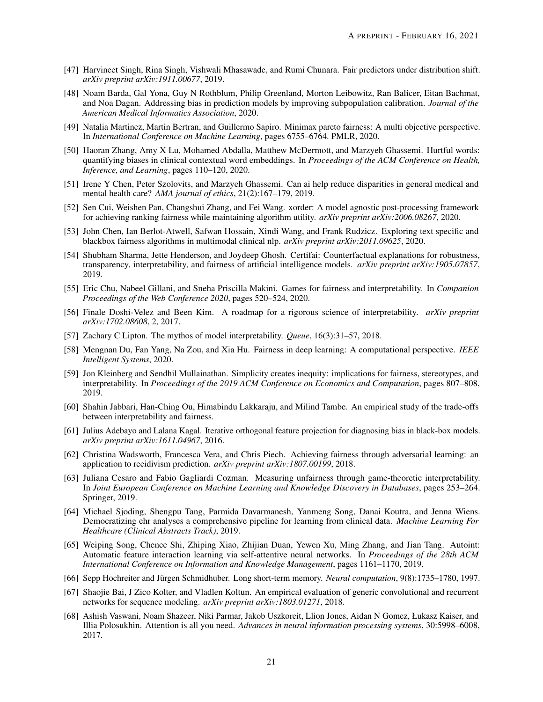- <span id="page-20-0"></span>[47] Harvineet Singh, Rina Singh, Vishwali Mhasawade, and Rumi Chunara. Fair predictors under distribution shift. *arXiv preprint arXiv:1911.00677*, 2019.
- <span id="page-20-1"></span>[48] Noam Barda, Gal Yona, Guy N Rothblum, Philip Greenland, Morton Leibowitz, Ran Balicer, Eitan Bachmat, and Noa Dagan. Addressing bias in prediction models by improving subpopulation calibration. *Journal of the American Medical Informatics Association*, 2020.
- <span id="page-20-2"></span>[49] Natalia Martinez, Martin Bertran, and Guillermo Sapiro. Minimax pareto fairness: A multi objective perspective. In *International Conference on Machine Learning*, pages 6755–6764. PMLR, 2020.
- <span id="page-20-3"></span>[50] Haoran Zhang, Amy X Lu, Mohamed Abdalla, Matthew McDermott, and Marzyeh Ghassemi. Hurtful words: quantifying biases in clinical contextual word embeddings. In *Proceedings of the ACM Conference on Health, Inference, and Learning*, pages 110–120, 2020.
- <span id="page-20-4"></span>[51] Irene Y Chen, Peter Szolovits, and Marzyeh Ghassemi. Can ai help reduce disparities in general medical and mental health care? *AMA journal of ethics*, 21(2):167–179, 2019.
- <span id="page-20-5"></span>[52] Sen Cui, Weishen Pan, Changshui Zhang, and Fei Wang. xorder: A model agnostic post-processing framework for achieving ranking fairness while maintaining algorithm utility. *arXiv preprint arXiv:2006.08267*, 2020.
- <span id="page-20-6"></span>[53] John Chen, Ian Berlot-Atwell, Safwan Hossain, Xindi Wang, and Frank Rudzicz. Exploring text specific and blackbox fairness algorithms in multimodal clinical nlp. *arXiv preprint arXiv:2011.09625*, 2020.
- <span id="page-20-7"></span>[54] Shubham Sharma, Jette Henderson, and Joydeep Ghosh. Certifai: Counterfactual explanations for robustness, transparency, interpretability, and fairness of artificial intelligence models. *arXiv preprint arXiv:1905.07857*, 2019.
- <span id="page-20-8"></span>[55] Eric Chu, Nabeel Gillani, and Sneha Priscilla Makini. Games for fairness and interpretability. In *Companion Proceedings of the Web Conference 2020*, pages 520–524, 2020.
- <span id="page-20-9"></span>[56] Finale Doshi-Velez and Been Kim. A roadmap for a rigorous science of interpretability. *arXiv preprint arXiv:1702.08608*, 2, 2017.
- <span id="page-20-10"></span>[57] Zachary C Lipton. The mythos of model interpretability. *Queue*, 16(3):31–57, 2018.
- <span id="page-20-11"></span>[58] Mengnan Du, Fan Yang, Na Zou, and Xia Hu. Fairness in deep learning: A computational perspective. *IEEE Intelligent Systems*, 2020.
- <span id="page-20-12"></span>[59] Jon Kleinberg and Sendhil Mullainathan. Simplicity creates inequity: implications for fairness, stereotypes, and interpretability. In *Proceedings of the 2019 ACM Conference on Economics and Computation*, pages 807–808, 2019.
- <span id="page-20-13"></span>[60] Shahin Jabbari, Han-Ching Ou, Himabindu Lakkaraju, and Milind Tambe. An empirical study of the trade-offs between interpretability and fairness.
- <span id="page-20-14"></span>[61] Julius Adebayo and Lalana Kagal. Iterative orthogonal feature projection for diagnosing bias in black-box models. *arXiv preprint arXiv:1611.04967*, 2016.
- <span id="page-20-15"></span>[62] Christina Wadsworth, Francesca Vera, and Chris Piech. Achieving fairness through adversarial learning: an application to recidivism prediction. *arXiv preprint arXiv:1807.00199*, 2018.
- <span id="page-20-16"></span>[63] Juliana Cesaro and Fabio Gagliardi Cozman. Measuring unfairness through game-theoretic interpretability. In *Joint European Conference on Machine Learning and Knowledge Discovery in Databases*, pages 253–264. Springer, 2019.
- <span id="page-20-17"></span>[64] Michael Sjoding, Shengpu Tang, Parmida Davarmanesh, Yanmeng Song, Danai Koutra, and Jenna Wiens. Democratizing ehr analyses a comprehensive pipeline for learning from clinical data. *Machine Learning For Healthcare (Clinical Abstracts Track)*, 2019.
- <span id="page-20-18"></span>[65] Weiping Song, Chence Shi, Zhiping Xiao, Zhijian Duan, Yewen Xu, Ming Zhang, and Jian Tang. Autoint: Automatic feature interaction learning via self-attentive neural networks. In *Proceedings of the 28th ACM International Conference on Information and Knowledge Management*, pages 1161–1170, 2019.
- <span id="page-20-19"></span>[66] Sepp Hochreiter and Jürgen Schmidhuber. Long short-term memory. *Neural computation*, 9(8):1735–1780, 1997.
- <span id="page-20-20"></span>[67] Shaojie Bai, J Zico Kolter, and Vladlen Koltun. An empirical evaluation of generic convolutional and recurrent networks for sequence modeling. *arXiv preprint arXiv:1803.01271*, 2018.
- <span id="page-20-21"></span>[68] Ashish Vaswani, Noam Shazeer, Niki Parmar, Jakob Uszkoreit, Llion Jones, Aidan N Gomez, Łukasz Kaiser, and Illia Polosukhin. Attention is all you need. *Advances in neural information processing systems*, 30:5998–6008, 2017.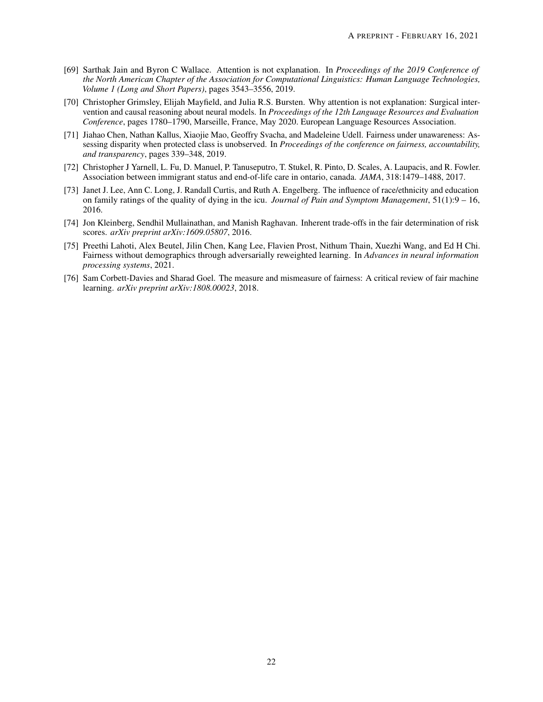- <span id="page-21-0"></span>[69] Sarthak Jain and Byron C Wallace. Attention is not explanation. In *Proceedings of the 2019 Conference of the North American Chapter of the Association for Computational Linguistics: Human Language Technologies, Volume 1 (Long and Short Papers)*, pages 3543–3556, 2019.
- <span id="page-21-1"></span>[70] Christopher Grimsley, Elijah Mayfield, and Julia R.S. Bursten. Why attention is not explanation: Surgical intervention and causal reasoning about neural models. In *Proceedings of the 12th Language Resources and Evaluation Conference*, pages 1780–1790, Marseille, France, May 2020. European Language Resources Association.
- <span id="page-21-2"></span>[71] Jiahao Chen, Nathan Kallus, Xiaojie Mao, Geoffry Svacha, and Madeleine Udell. Fairness under unawareness: Assessing disparity when protected class is unobserved. In *Proceedings of the conference on fairness, accountability, and transparency*, pages 339–348, 2019.
- <span id="page-21-3"></span>[72] Christopher J Yarnell, L. Fu, D. Manuel, P. Tanuseputro, T. Stukel, R. Pinto, D. Scales, A. Laupacis, and R. Fowler. Association between immigrant status and end-of-life care in ontario, canada. *JAMA*, 318:1479–1488, 2017.
- <span id="page-21-4"></span>[73] Janet J. Lee, Ann C. Long, J. Randall Curtis, and Ruth A. Engelberg. The influence of race/ethnicity and education on family ratings of the quality of dying in the icu. *Journal of Pain and Symptom Management*, 51(1):9 – 16, 2016.
- <span id="page-21-5"></span>[74] Jon Kleinberg, Sendhil Mullainathan, and Manish Raghavan. Inherent trade-offs in the fair determination of risk scores. *arXiv preprint arXiv:1609.05807*, 2016.
- <span id="page-21-6"></span>[75] Preethi Lahoti, Alex Beutel, Jilin Chen, Kang Lee, Flavien Prost, Nithum Thain, Xuezhi Wang, and Ed H Chi. Fairness without demographics through adversarially reweighted learning. In *Advances in neural information processing systems*, 2021.
- <span id="page-21-7"></span>[76] Sam Corbett-Davies and Sharad Goel. The measure and mismeasure of fairness: A critical review of fair machine learning. *arXiv preprint arXiv:1808.00023*, 2018.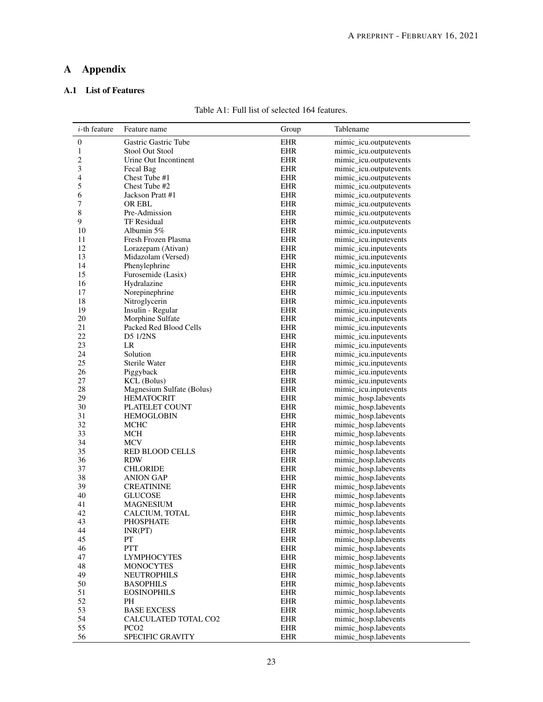## A Appendix

## <span id="page-22-0"></span>A.1 List of Features

| Table A1: Full list of selected 164 features. |  |  |
|-----------------------------------------------|--|--|
|-----------------------------------------------|--|--|

| $i$ -th feature | Feature name                          | Group                    | Tablename                                      |
|-----------------|---------------------------------------|--------------------------|------------------------------------------------|
| 0               | Gastric Gastric Tube                  | <b>EHR</b>               | mimic_icu.outputevents                         |
| 1               | <b>Stool Out Stool</b>                | <b>EHR</b>               | mimic_icu.outputevents                         |
| 2               | Urine Out Incontinent                 | <b>EHR</b>               | mimic_icu.outputevents                         |
| 3               | Fecal Bag                             | <b>EHR</b>               | mimic_icu.outputevents                         |
| 4               | Chest Tube #1                         | <b>EHR</b>               | mimic_icu.outputevents                         |
| 5               | Chest Tube #2                         | <b>EHR</b>               | mimic_icu.outputevents                         |
| 6               | Jackson Pratt #1                      | <b>EHR</b>               | mimic_icu.outputevents                         |
| 7               | OR EBL                                | <b>EHR</b>               | mimic_icu.outputevents                         |
| 8               | Pre-Admission                         | <b>EHR</b>               | mimic_icu.outputevents                         |
| 9               | <b>TF Residual</b>                    | <b>EHR</b>               | mimic_icu.outputevents                         |
| 10              | Albumin 5%                            | <b>EHR</b>               | mimic_icu.inputevents                          |
| 11              | Fresh Frozen Plasma                   | <b>EHR</b>               | mimic_icu.inputevents                          |
| 12              | Lorazepam (Ativan)                    | <b>EHR</b>               | mimic_icu.inputevents                          |
| 13              | Midazolam (Versed)                    | <b>EHR</b>               | mimic_icu.inputevents                          |
| 14              | Phenylephrine                         | <b>EHR</b>               | mimic_icu.inputevents                          |
| 15              | Furosemide (Lasix)                    | <b>EHR</b>               | mimic_icu.inputevents                          |
| 16              | Hydralazine                           | <b>EHR</b>               | mimic_icu.inputevents                          |
| 17              | Norepinephrine                        | <b>EHR</b><br><b>EHR</b> | mimic_icu.inputevents                          |
| 18              | Nitroglycerin                         | <b>EHR</b>               | mimic_icu.inputevents                          |
| 19<br>20        | Insulin - Regular<br>Morphine Sulfate | <b>EHR</b>               | mimic_icu.inputevents                          |
| 21              | Packed Red Blood Cells                | <b>EHR</b>               | mimic_icu.inputevents<br>mimic_icu.inputevents |
| 22              | <b>D5 1/2NS</b>                       | <b>EHR</b>               | mimic_icu.inputevents                          |
| 23              | LR                                    | <b>EHR</b>               |                                                |
| 24              | Solution                              | <b>EHR</b>               | mimic_icu.inputevents<br>mimic_icu.inputevents |
| 25              | Sterile Water                         | EHR                      | mimic_icu.inputevents                          |
| 26              | Piggyback                             | <b>EHR</b>               | mimic_icu.inputevents                          |
| 27              | <b>KCL</b> (Bolus)                    | <b>EHR</b>               | mimic_icu.inputevents                          |
| $28\,$          | Magnesium Sulfate (Bolus)             | EHR                      | mimic_icu.inputevents                          |
| 29              | <b>HEMATOCRIT</b>                     | <b>EHR</b>               | mimic_hosp.labevents                           |
| 30              | PLATELET COUNT                        | <b>EHR</b>               | mimic_hosp.labevents                           |
| 31              | <b>HEMOGLOBIN</b>                     | <b>EHR</b>               | mimic_hosp.labevents                           |
| 32              | <b>MCHC</b>                           | <b>EHR</b>               | mimic_hosp.labevents                           |
| 33              | MCH                                   | <b>EHR</b>               | mimic_hosp.labevents                           |
| 34              | <b>MCV</b>                            | <b>EHR</b>               | mimic_hosp.labevents                           |
| 35              | <b>RED BLOOD CELLS</b>                | <b>EHR</b>               | mimic_hosp.labevents                           |
| 36              | <b>RDW</b>                            | <b>EHR</b>               | mimic_hosp.labevents                           |
| 37              | <b>CHLORIDE</b>                       | <b>EHR</b>               | mimic_hosp.labevents                           |
| 38              | <b>ANION GAP</b>                      | <b>EHR</b>               | mimic_hosp.labevents                           |
| 39              | <b>CREATININE</b>                     | <b>EHR</b>               | mimic_hosp.labevents                           |
| 40              | <b>GLUCOSE</b>                        | <b>EHR</b>               | mimic_hosp.labevents                           |
| 41              | <b>MAGNESIUM</b>                      | <b>EHR</b>               | mimic_hosp.labevents                           |
| 42              | CALCIUM, TOTAL                        | <b>EHR</b>               | mimic_hosp.labevents                           |
| 43              | PHOSPHATE                             | <b>EHR</b>               | mimic_hosp.labevents                           |
| 44              | INR(PT)                               | <b>EHR</b>               | mimic_hosp.labevents                           |
| 45              | PT                                    | <b>EHR</b>               | mimic_hosp.labevents                           |
| 46              | <b>PTT</b>                            | <b>EHR</b>               | mimic_hosp.labevents                           |
| 47              | <b>LYMPHOCYTES</b>                    | EHR                      | mimic_hosp.labevents                           |
| 48              | <b>MONOCYTES</b>                      | <b>EHR</b>               | mimic_hosp.labevents                           |
| 49              | <b>NEUTROPHILS</b>                    | <b>EHR</b>               | mimic_hosp.labevents                           |
| 50              | <b>BASOPHILS</b>                      | <b>EHR</b>               | mimic_hosp.labevents                           |
| 51              | <b>EOSINOPHILS</b>                    | <b>EHR</b>               | mimic_hosp.labevents                           |
| 52              | PH                                    | <b>EHR</b>               | mimic_hosp.labevents                           |
| 53              | <b>BASE EXCESS</b>                    | EHR                      | mimic_hosp.labevents                           |
| 54              | CALCULATED TOTAL CO2                  | <b>EHR</b>               | mimic_hosp.labevents                           |
| 55              | PCO <sub>2</sub>                      | <b>EHR</b>               | mimic_hosp.labevents                           |
| 56              | SPECIFIC GRAVITY                      | <b>EHR</b>               | mimic_hosp.labevents                           |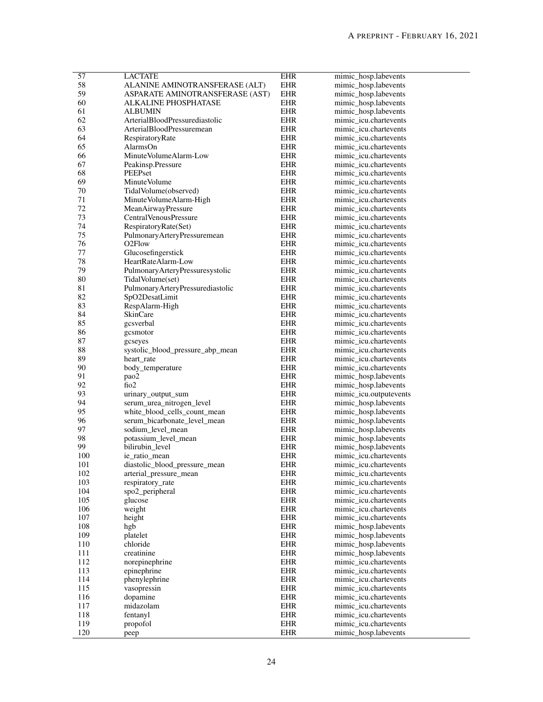| 57  | <b>LACTATE</b>                   | <b>EHR</b> | mimic_hosp.labevents   |
|-----|----------------------------------|------------|------------------------|
| 58  | ALANINE AMINOTRANSFERASE (ALT)   | EHR        | mimic_hosp.labevents   |
| 59  | ASPARATE AMINOTRANSFERASE (AST)  | <b>EHR</b> | mimic_hosp.labevents   |
| 60  | ALKALINE PHOSPHATASE             | EHR        | mimic_hosp.labevents   |
| 61  | ALBUMIN                          | <b>EHR</b> | mimic_hosp.labevents   |
| 62  | ArterialBloodPressurediastolic   | <b>EHR</b> | mimic_icu.chartevents  |
| 63  | ArterialBloodPressuremean        | EHR        | mimic_icu.chartevents  |
|     |                                  |            |                        |
| 64  | RespiratoryRate                  | <b>EHR</b> | mimic_icu.chartevents  |
| 65  | AlarmsOn                         | EHR        | mimic_icu.chartevents  |
| 66  | Minute Volume Alarm-Low          | EHR        | mimic_icu.chartevents  |
| 67  | Peakinsp.Pressure                | <b>EHR</b> | mimic_icu.chartevents  |
| 68  | PEEPset                          | EHR        | mimic_icu.chartevents  |
| 69  | Minute Volume                    | EHR        | mimic_icu.chartevents  |
| 70  | Tidal Volume (observed)          | EHR        | mimic_icu.chartevents  |
| 71  | MinuteVolumeAlarm-High           | EHR        | mimic_icu.chartevents  |
| 72  | MeanAirwayPressure               | EHR        | mimic_icu.chartevents  |
| 73  | <b>Central Venous Pressure</b>   | <b>EHR</b> | mimic_icu.chartevents  |
|     |                                  |            |                        |
| 74  | RespiratoryRate(Set)             | EHR        | mimic_icu.chartevents  |
| 75  | PulmonaryArteryPressuremean      | EHR        | mimic_icu.chartevents  |
| 76  | O <sub>2</sub> Flow              | EHR        | mimic icu.chartevents  |
| 77  | Glucosefingerstick               | EHR        | mimic icu.chartevents  |
| 78  | HeartRateAlarm-Low               | EHR        | mimic icu.chartevents  |
| 79  | PulmonaryArteryPressuresystolic  | <b>EHR</b> | mimic_icu.chartevents  |
| 80  | TidalVolume(set)                 | EHR        | mimic icu.chartevents  |
| 81  | PulmonaryArteryPressurediastolic | EHR        | mimic_icu.chartevents  |
| 82  | SpO2DesatLimit                   | EHR        | mimic_icu.chartevents  |
|     |                                  |            |                        |
| 83  | RespAlarm-High                   | EHR        | mimic_icu.chartevents  |
| 84  | <b>SkinCare</b>                  | EHR        | mimic icu.chartevents  |
| 85  | gcsverbal                        | EHR        | mimic_icu.chartevents  |
| 86  | gcsmotor                         | EHR        | mimic_icu.chartevents  |
| 87  | gcseyes                          | EHR        | mimic_icu.chartevents  |
| 88  | systolic_blood_pressure_abp_mean | EHR        | mimic_icu.chartevents  |
| 89  | heart_rate                       | EHR        | mimic_icu.chartevents  |
| 90  | body_temperature                 | <b>EHR</b> | mimic_icu.chartevents  |
| 91  | pao2                             | EHR        | mimic_hosp.labevents   |
|     | $f{102}$                         |            |                        |
| 92  |                                  | EHR        | mimic_hosp.labevents   |
| 93  | urinary_output_sum               | EHR        | mimic_icu.outputevents |
| 94  | serum_urea_nitrogen_level        | <b>EHR</b> | mimic_hosp.labevents   |
| 95  | white_blood_cells_count_mean     | EHR        | mimic_hosp.labevents   |
| 96  | serum_bicarbonate_level_mean     | EHR        | mimic_hosp.labevents   |
| 97  | sodium_level_mean                | EHR        | mimic_hosp.labevents   |
| 98  | potassium_level_mean             | EHR        | mimic_hosp.labevents   |
| 99  | bilirubin_level                  | <b>EHR</b> | mimic_hosp.labevents   |
| 100 | ie ratio mean                    | <b>EHR</b> | mimic icu.chartevents  |
| 101 | diastolic_blood_pressure_mean    | EHR        | mimic_icu.chartevents  |
|     |                                  |            | mimic icu.chartevents  |
| 102 | arterial_pressure_mean           | <b>EHR</b> |                        |
| 103 | respiratory_rate                 | <b>EHR</b> | mimic_icu.chartevents  |
| 104 | spo2_peripheral                  | EHR        | mimic_icu.chartevents  |
| 105 | glucose                          | EHR        | mimic icu.chartevents  |
| 106 | weight                           | <b>EHR</b> | mimic_icu.chartevents  |
| 107 | height                           | EHR        | mimic_icu.chartevents  |
| 108 | hgb                              | EHR        | mimic_hosp.labevents   |
| 109 | platelet                         | <b>EHR</b> | mimic_hosp.labevents   |
| 110 | chloride                         | EHR        | mimic_hosp.labevents   |
| 111 | creatinine                       | EHR        | mimic_hosp.labevents   |
| 112 | norepinephrine                   | <b>EHR</b> | mimic_icu.chartevents  |
|     |                                  |            |                        |
| 113 | epinephrine                      | EHR        | mimic_icu.chartevents  |
| 114 | phenylephrine                    | EHR        | mimic_icu.chartevents  |
| 115 | vasopressin                      | <b>EHR</b> | mimic_icu.chartevents  |
| 116 | dopamine                         | EHR        | mimic_icu.chartevents  |
| 117 | midazolam                        | EHR        | mimic_icu.chartevents  |
| 118 | fentanyl                         | <b>EHR</b> | mimic_icu.chartevents  |
| 119 | propofol                         | EHR        | mimic_icu.chartevents  |
| 120 | peep                             | EHR        | mimic_hosp.labevents   |
|     |                                  |            |                        |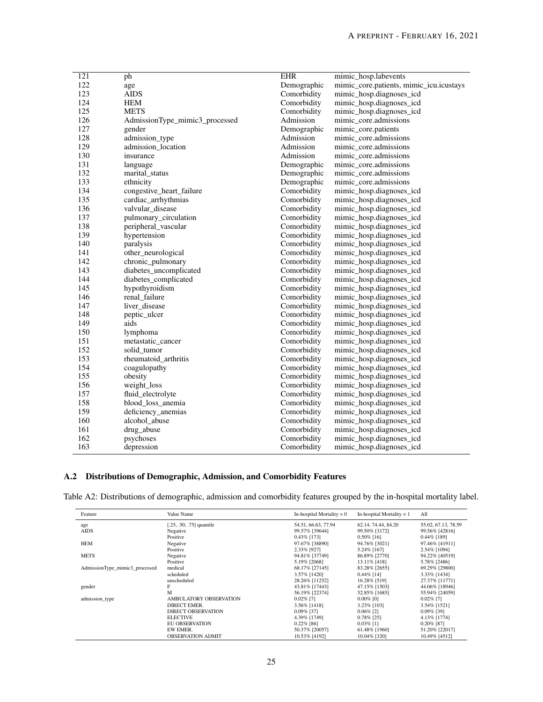| 122<br>Demographic<br>mimic_core.patients, mimic_icu.icustays<br>age<br>123<br><b>AIDS</b><br>Comorbidity<br>mimic_hosp.diagnoses_icd<br>124<br><b>HEM</b><br>Comorbidity<br>mimic_hosp.diagnoses_icd<br><b>METS</b><br>125<br>Comorbidity<br>mimic_hosp.diagnoses_icd<br>126<br>Admission<br>mimic core.admissions<br>AdmissionType_mimic3_processed<br>127<br>Demographic<br>mimic_core.patients<br>gender<br>128<br>admission_type<br>Admission<br>mimic core.admissions<br>129<br>admission_location<br>Admission<br>mimic_core.admissions<br>130<br>insurance<br>Admission<br>mimic_core.admissions<br>131<br>Demographic<br>mimic_core.admissions<br>language<br>132<br>Demographic<br>marital_status<br>mimic_core.admissions<br>133<br>Demographic<br>mimic core.admissions<br>ethnicity<br>134<br>Comorbidity<br>congestive_heart_failure<br>mimic_hosp.diagnoses_icd<br>135<br>cardiac_arrhythmias<br>Comorbidity<br>mimic_hosp.diagnoses_icd<br>136<br>valvular disease<br>Comorbidity<br>mimic_hosp.diagnoses_icd<br>137<br>Comorbidity<br>pulmonary_circulation<br>mimic_hosp.diagnoses_icd<br>138<br>peripheral_vascular<br>Comorbidity<br>mimic_hosp.diagnoses_icd<br>139<br>hypertension<br>Comorbidity<br>mimic_hosp.diagnoses_icd<br>140<br>paralysis<br>Comorbidity<br>mimic_hosp.diagnoses_icd<br>Comorbidity<br>141<br>other_neurological<br>mimic_hosp.diagnoses_icd<br>142<br>chronic_pulmonary<br>Comorbidity<br>mimic_hosp.diagnoses_icd<br>143<br>diabetes_uncomplicated<br>Comorbidity<br>mimic_hosp.diagnoses_icd<br>diabetes_complicated<br>Comorbidity<br>mimic_hosp.diagnoses_icd<br>144<br>145<br>hypothyroidism<br>Comorbidity<br>mimic_hosp.diagnoses_icd<br>renal_failure<br>146<br>Comorbidity<br>mimic_hosp.diagnoses_icd<br>liver_disease<br>147<br>Comorbidity<br>mimic_hosp.diagnoses_icd<br>148<br>peptic_ulcer<br>Comorbidity<br>mimic_hosp.diagnoses_icd<br>149<br>aids<br>Comorbidity<br>mimic_hosp.diagnoses_icd<br>150<br>Comorbidity<br>lymphoma<br>mimic_hosp.diagnoses_icd<br>151<br>metastatic_cancer<br>Comorbidity<br>mimic_hosp.diagnoses_icd<br>152<br>Comorbidity<br>mimic_hosp.diagnoses_icd<br>solid tumor<br>153<br>rheumatoid arthritis<br>Comorbidity<br>mimic_hosp.diagnoses_icd<br>154<br>coagulopathy<br>Comorbidity<br>mimic_hosp.diagnoses_icd<br>155<br>obesity<br>Comorbidity<br>mimic_hosp.diagnoses_icd<br>156<br>weight_loss<br>Comorbidity<br>mimic_hosp.diagnoses_icd<br>fluid_electrolyte<br>Comorbidity<br>157<br>mimic_hosp.diagnoses_icd<br>158<br>blood_loss_anemia<br>Comorbidity<br>mimic_hosp.diagnoses_icd<br>159<br>deficiency_anemias<br>Comorbidity<br>mimic_hosp.diagnoses_icd<br>160<br>alcohol_abuse<br>Comorbidity<br>mimic_hosp.diagnoses_icd<br>Comorbidity<br>161<br>drug_abuse<br>mimic_hosp.diagnoses_icd<br>162<br>psychoses<br>Comorbidity<br>mimic_hosp.diagnoses_icd<br>163<br>Comorbidity<br>depression<br>mimic_hosp.diagnoses_icd |                  |    |            |                      |
|---------------------------------------------------------------------------------------------------------------------------------------------------------------------------------------------------------------------------------------------------------------------------------------------------------------------------------------------------------------------------------------------------------------------------------------------------------------------------------------------------------------------------------------------------------------------------------------------------------------------------------------------------------------------------------------------------------------------------------------------------------------------------------------------------------------------------------------------------------------------------------------------------------------------------------------------------------------------------------------------------------------------------------------------------------------------------------------------------------------------------------------------------------------------------------------------------------------------------------------------------------------------------------------------------------------------------------------------------------------------------------------------------------------------------------------------------------------------------------------------------------------------------------------------------------------------------------------------------------------------------------------------------------------------------------------------------------------------------------------------------------------------------------------------------------------------------------------------------------------------------------------------------------------------------------------------------------------------------------------------------------------------------------------------------------------------------------------------------------------------------------------------------------------------------------------------------------------------------------------------------------------------------------------------------------------------------------------------------------------------------------------------------------------------------------------------------------------------------------------------------------------------------------------------------------------------------------------------------------------------------------------------------------------------------------------------------------------------------------------------------------------------------------------------------------------------------------------------------------------------------------------------------------------------------------------|------------------|----|------------|----------------------|
|                                                                                                                                                                                                                                                                                                                                                                                                                                                                                                                                                                                                                                                                                                                                                                                                                                                                                                                                                                                                                                                                                                                                                                                                                                                                                                                                                                                                                                                                                                                                                                                                                                                                                                                                                                                                                                                                                                                                                                                                                                                                                                                                                                                                                                                                                                                                                                                                                                                                                                                                                                                                                                                                                                                                                                                                                                                                                                                                       | $\overline{121}$ | ph | <b>EHR</b> | mimic_hosp.labevents |
|                                                                                                                                                                                                                                                                                                                                                                                                                                                                                                                                                                                                                                                                                                                                                                                                                                                                                                                                                                                                                                                                                                                                                                                                                                                                                                                                                                                                                                                                                                                                                                                                                                                                                                                                                                                                                                                                                                                                                                                                                                                                                                                                                                                                                                                                                                                                                                                                                                                                                                                                                                                                                                                                                                                                                                                                                                                                                                                                       |                  |    |            |                      |
|                                                                                                                                                                                                                                                                                                                                                                                                                                                                                                                                                                                                                                                                                                                                                                                                                                                                                                                                                                                                                                                                                                                                                                                                                                                                                                                                                                                                                                                                                                                                                                                                                                                                                                                                                                                                                                                                                                                                                                                                                                                                                                                                                                                                                                                                                                                                                                                                                                                                                                                                                                                                                                                                                                                                                                                                                                                                                                                                       |                  |    |            |                      |
|                                                                                                                                                                                                                                                                                                                                                                                                                                                                                                                                                                                                                                                                                                                                                                                                                                                                                                                                                                                                                                                                                                                                                                                                                                                                                                                                                                                                                                                                                                                                                                                                                                                                                                                                                                                                                                                                                                                                                                                                                                                                                                                                                                                                                                                                                                                                                                                                                                                                                                                                                                                                                                                                                                                                                                                                                                                                                                                                       |                  |    |            |                      |
|                                                                                                                                                                                                                                                                                                                                                                                                                                                                                                                                                                                                                                                                                                                                                                                                                                                                                                                                                                                                                                                                                                                                                                                                                                                                                                                                                                                                                                                                                                                                                                                                                                                                                                                                                                                                                                                                                                                                                                                                                                                                                                                                                                                                                                                                                                                                                                                                                                                                                                                                                                                                                                                                                                                                                                                                                                                                                                                                       |                  |    |            |                      |
|                                                                                                                                                                                                                                                                                                                                                                                                                                                                                                                                                                                                                                                                                                                                                                                                                                                                                                                                                                                                                                                                                                                                                                                                                                                                                                                                                                                                                                                                                                                                                                                                                                                                                                                                                                                                                                                                                                                                                                                                                                                                                                                                                                                                                                                                                                                                                                                                                                                                                                                                                                                                                                                                                                                                                                                                                                                                                                                                       |                  |    |            |                      |
|                                                                                                                                                                                                                                                                                                                                                                                                                                                                                                                                                                                                                                                                                                                                                                                                                                                                                                                                                                                                                                                                                                                                                                                                                                                                                                                                                                                                                                                                                                                                                                                                                                                                                                                                                                                                                                                                                                                                                                                                                                                                                                                                                                                                                                                                                                                                                                                                                                                                                                                                                                                                                                                                                                                                                                                                                                                                                                                                       |                  |    |            |                      |
|                                                                                                                                                                                                                                                                                                                                                                                                                                                                                                                                                                                                                                                                                                                                                                                                                                                                                                                                                                                                                                                                                                                                                                                                                                                                                                                                                                                                                                                                                                                                                                                                                                                                                                                                                                                                                                                                                                                                                                                                                                                                                                                                                                                                                                                                                                                                                                                                                                                                                                                                                                                                                                                                                                                                                                                                                                                                                                                                       |                  |    |            |                      |
|                                                                                                                                                                                                                                                                                                                                                                                                                                                                                                                                                                                                                                                                                                                                                                                                                                                                                                                                                                                                                                                                                                                                                                                                                                                                                                                                                                                                                                                                                                                                                                                                                                                                                                                                                                                                                                                                                                                                                                                                                                                                                                                                                                                                                                                                                                                                                                                                                                                                                                                                                                                                                                                                                                                                                                                                                                                                                                                                       |                  |    |            |                      |
|                                                                                                                                                                                                                                                                                                                                                                                                                                                                                                                                                                                                                                                                                                                                                                                                                                                                                                                                                                                                                                                                                                                                                                                                                                                                                                                                                                                                                                                                                                                                                                                                                                                                                                                                                                                                                                                                                                                                                                                                                                                                                                                                                                                                                                                                                                                                                                                                                                                                                                                                                                                                                                                                                                                                                                                                                                                                                                                                       |                  |    |            |                      |
|                                                                                                                                                                                                                                                                                                                                                                                                                                                                                                                                                                                                                                                                                                                                                                                                                                                                                                                                                                                                                                                                                                                                                                                                                                                                                                                                                                                                                                                                                                                                                                                                                                                                                                                                                                                                                                                                                                                                                                                                                                                                                                                                                                                                                                                                                                                                                                                                                                                                                                                                                                                                                                                                                                                                                                                                                                                                                                                                       |                  |    |            |                      |
|                                                                                                                                                                                                                                                                                                                                                                                                                                                                                                                                                                                                                                                                                                                                                                                                                                                                                                                                                                                                                                                                                                                                                                                                                                                                                                                                                                                                                                                                                                                                                                                                                                                                                                                                                                                                                                                                                                                                                                                                                                                                                                                                                                                                                                                                                                                                                                                                                                                                                                                                                                                                                                                                                                                                                                                                                                                                                                                                       |                  |    |            |                      |
|                                                                                                                                                                                                                                                                                                                                                                                                                                                                                                                                                                                                                                                                                                                                                                                                                                                                                                                                                                                                                                                                                                                                                                                                                                                                                                                                                                                                                                                                                                                                                                                                                                                                                                                                                                                                                                                                                                                                                                                                                                                                                                                                                                                                                                                                                                                                                                                                                                                                                                                                                                                                                                                                                                                                                                                                                                                                                                                                       |                  |    |            |                      |
|                                                                                                                                                                                                                                                                                                                                                                                                                                                                                                                                                                                                                                                                                                                                                                                                                                                                                                                                                                                                                                                                                                                                                                                                                                                                                                                                                                                                                                                                                                                                                                                                                                                                                                                                                                                                                                                                                                                                                                                                                                                                                                                                                                                                                                                                                                                                                                                                                                                                                                                                                                                                                                                                                                                                                                                                                                                                                                                                       |                  |    |            |                      |
|                                                                                                                                                                                                                                                                                                                                                                                                                                                                                                                                                                                                                                                                                                                                                                                                                                                                                                                                                                                                                                                                                                                                                                                                                                                                                                                                                                                                                                                                                                                                                                                                                                                                                                                                                                                                                                                                                                                                                                                                                                                                                                                                                                                                                                                                                                                                                                                                                                                                                                                                                                                                                                                                                                                                                                                                                                                                                                                                       |                  |    |            |                      |
|                                                                                                                                                                                                                                                                                                                                                                                                                                                                                                                                                                                                                                                                                                                                                                                                                                                                                                                                                                                                                                                                                                                                                                                                                                                                                                                                                                                                                                                                                                                                                                                                                                                                                                                                                                                                                                                                                                                                                                                                                                                                                                                                                                                                                                                                                                                                                                                                                                                                                                                                                                                                                                                                                                                                                                                                                                                                                                                                       |                  |    |            |                      |
|                                                                                                                                                                                                                                                                                                                                                                                                                                                                                                                                                                                                                                                                                                                                                                                                                                                                                                                                                                                                                                                                                                                                                                                                                                                                                                                                                                                                                                                                                                                                                                                                                                                                                                                                                                                                                                                                                                                                                                                                                                                                                                                                                                                                                                                                                                                                                                                                                                                                                                                                                                                                                                                                                                                                                                                                                                                                                                                                       |                  |    |            |                      |
|                                                                                                                                                                                                                                                                                                                                                                                                                                                                                                                                                                                                                                                                                                                                                                                                                                                                                                                                                                                                                                                                                                                                                                                                                                                                                                                                                                                                                                                                                                                                                                                                                                                                                                                                                                                                                                                                                                                                                                                                                                                                                                                                                                                                                                                                                                                                                                                                                                                                                                                                                                                                                                                                                                                                                                                                                                                                                                                                       |                  |    |            |                      |
|                                                                                                                                                                                                                                                                                                                                                                                                                                                                                                                                                                                                                                                                                                                                                                                                                                                                                                                                                                                                                                                                                                                                                                                                                                                                                                                                                                                                                                                                                                                                                                                                                                                                                                                                                                                                                                                                                                                                                                                                                                                                                                                                                                                                                                                                                                                                                                                                                                                                                                                                                                                                                                                                                                                                                                                                                                                                                                                                       |                  |    |            |                      |
|                                                                                                                                                                                                                                                                                                                                                                                                                                                                                                                                                                                                                                                                                                                                                                                                                                                                                                                                                                                                                                                                                                                                                                                                                                                                                                                                                                                                                                                                                                                                                                                                                                                                                                                                                                                                                                                                                                                                                                                                                                                                                                                                                                                                                                                                                                                                                                                                                                                                                                                                                                                                                                                                                                                                                                                                                                                                                                                                       |                  |    |            |                      |
|                                                                                                                                                                                                                                                                                                                                                                                                                                                                                                                                                                                                                                                                                                                                                                                                                                                                                                                                                                                                                                                                                                                                                                                                                                                                                                                                                                                                                                                                                                                                                                                                                                                                                                                                                                                                                                                                                                                                                                                                                                                                                                                                                                                                                                                                                                                                                                                                                                                                                                                                                                                                                                                                                                                                                                                                                                                                                                                                       |                  |    |            |                      |
|                                                                                                                                                                                                                                                                                                                                                                                                                                                                                                                                                                                                                                                                                                                                                                                                                                                                                                                                                                                                                                                                                                                                                                                                                                                                                                                                                                                                                                                                                                                                                                                                                                                                                                                                                                                                                                                                                                                                                                                                                                                                                                                                                                                                                                                                                                                                                                                                                                                                                                                                                                                                                                                                                                                                                                                                                                                                                                                                       |                  |    |            |                      |
|                                                                                                                                                                                                                                                                                                                                                                                                                                                                                                                                                                                                                                                                                                                                                                                                                                                                                                                                                                                                                                                                                                                                                                                                                                                                                                                                                                                                                                                                                                                                                                                                                                                                                                                                                                                                                                                                                                                                                                                                                                                                                                                                                                                                                                                                                                                                                                                                                                                                                                                                                                                                                                                                                                                                                                                                                                                                                                                                       |                  |    |            |                      |
|                                                                                                                                                                                                                                                                                                                                                                                                                                                                                                                                                                                                                                                                                                                                                                                                                                                                                                                                                                                                                                                                                                                                                                                                                                                                                                                                                                                                                                                                                                                                                                                                                                                                                                                                                                                                                                                                                                                                                                                                                                                                                                                                                                                                                                                                                                                                                                                                                                                                                                                                                                                                                                                                                                                                                                                                                                                                                                                                       |                  |    |            |                      |
|                                                                                                                                                                                                                                                                                                                                                                                                                                                                                                                                                                                                                                                                                                                                                                                                                                                                                                                                                                                                                                                                                                                                                                                                                                                                                                                                                                                                                                                                                                                                                                                                                                                                                                                                                                                                                                                                                                                                                                                                                                                                                                                                                                                                                                                                                                                                                                                                                                                                                                                                                                                                                                                                                                                                                                                                                                                                                                                                       |                  |    |            |                      |
|                                                                                                                                                                                                                                                                                                                                                                                                                                                                                                                                                                                                                                                                                                                                                                                                                                                                                                                                                                                                                                                                                                                                                                                                                                                                                                                                                                                                                                                                                                                                                                                                                                                                                                                                                                                                                                                                                                                                                                                                                                                                                                                                                                                                                                                                                                                                                                                                                                                                                                                                                                                                                                                                                                                                                                                                                                                                                                                                       |                  |    |            |                      |
|                                                                                                                                                                                                                                                                                                                                                                                                                                                                                                                                                                                                                                                                                                                                                                                                                                                                                                                                                                                                                                                                                                                                                                                                                                                                                                                                                                                                                                                                                                                                                                                                                                                                                                                                                                                                                                                                                                                                                                                                                                                                                                                                                                                                                                                                                                                                                                                                                                                                                                                                                                                                                                                                                                                                                                                                                                                                                                                                       |                  |    |            |                      |
|                                                                                                                                                                                                                                                                                                                                                                                                                                                                                                                                                                                                                                                                                                                                                                                                                                                                                                                                                                                                                                                                                                                                                                                                                                                                                                                                                                                                                                                                                                                                                                                                                                                                                                                                                                                                                                                                                                                                                                                                                                                                                                                                                                                                                                                                                                                                                                                                                                                                                                                                                                                                                                                                                                                                                                                                                                                                                                                                       |                  |    |            |                      |
|                                                                                                                                                                                                                                                                                                                                                                                                                                                                                                                                                                                                                                                                                                                                                                                                                                                                                                                                                                                                                                                                                                                                                                                                                                                                                                                                                                                                                                                                                                                                                                                                                                                                                                                                                                                                                                                                                                                                                                                                                                                                                                                                                                                                                                                                                                                                                                                                                                                                                                                                                                                                                                                                                                                                                                                                                                                                                                                                       |                  |    |            |                      |
|                                                                                                                                                                                                                                                                                                                                                                                                                                                                                                                                                                                                                                                                                                                                                                                                                                                                                                                                                                                                                                                                                                                                                                                                                                                                                                                                                                                                                                                                                                                                                                                                                                                                                                                                                                                                                                                                                                                                                                                                                                                                                                                                                                                                                                                                                                                                                                                                                                                                                                                                                                                                                                                                                                                                                                                                                                                                                                                                       |                  |    |            |                      |
|                                                                                                                                                                                                                                                                                                                                                                                                                                                                                                                                                                                                                                                                                                                                                                                                                                                                                                                                                                                                                                                                                                                                                                                                                                                                                                                                                                                                                                                                                                                                                                                                                                                                                                                                                                                                                                                                                                                                                                                                                                                                                                                                                                                                                                                                                                                                                                                                                                                                                                                                                                                                                                                                                                                                                                                                                                                                                                                                       |                  |    |            |                      |
|                                                                                                                                                                                                                                                                                                                                                                                                                                                                                                                                                                                                                                                                                                                                                                                                                                                                                                                                                                                                                                                                                                                                                                                                                                                                                                                                                                                                                                                                                                                                                                                                                                                                                                                                                                                                                                                                                                                                                                                                                                                                                                                                                                                                                                                                                                                                                                                                                                                                                                                                                                                                                                                                                                                                                                                                                                                                                                                                       |                  |    |            |                      |
|                                                                                                                                                                                                                                                                                                                                                                                                                                                                                                                                                                                                                                                                                                                                                                                                                                                                                                                                                                                                                                                                                                                                                                                                                                                                                                                                                                                                                                                                                                                                                                                                                                                                                                                                                                                                                                                                                                                                                                                                                                                                                                                                                                                                                                                                                                                                                                                                                                                                                                                                                                                                                                                                                                                                                                                                                                                                                                                                       |                  |    |            |                      |
|                                                                                                                                                                                                                                                                                                                                                                                                                                                                                                                                                                                                                                                                                                                                                                                                                                                                                                                                                                                                                                                                                                                                                                                                                                                                                                                                                                                                                                                                                                                                                                                                                                                                                                                                                                                                                                                                                                                                                                                                                                                                                                                                                                                                                                                                                                                                                                                                                                                                                                                                                                                                                                                                                                                                                                                                                                                                                                                                       |                  |    |            |                      |
|                                                                                                                                                                                                                                                                                                                                                                                                                                                                                                                                                                                                                                                                                                                                                                                                                                                                                                                                                                                                                                                                                                                                                                                                                                                                                                                                                                                                                                                                                                                                                                                                                                                                                                                                                                                                                                                                                                                                                                                                                                                                                                                                                                                                                                                                                                                                                                                                                                                                                                                                                                                                                                                                                                                                                                                                                                                                                                                                       |                  |    |            |                      |
|                                                                                                                                                                                                                                                                                                                                                                                                                                                                                                                                                                                                                                                                                                                                                                                                                                                                                                                                                                                                                                                                                                                                                                                                                                                                                                                                                                                                                                                                                                                                                                                                                                                                                                                                                                                                                                                                                                                                                                                                                                                                                                                                                                                                                                                                                                                                                                                                                                                                                                                                                                                                                                                                                                                                                                                                                                                                                                                                       |                  |    |            |                      |
|                                                                                                                                                                                                                                                                                                                                                                                                                                                                                                                                                                                                                                                                                                                                                                                                                                                                                                                                                                                                                                                                                                                                                                                                                                                                                                                                                                                                                                                                                                                                                                                                                                                                                                                                                                                                                                                                                                                                                                                                                                                                                                                                                                                                                                                                                                                                                                                                                                                                                                                                                                                                                                                                                                                                                                                                                                                                                                                                       |                  |    |            |                      |
|                                                                                                                                                                                                                                                                                                                                                                                                                                                                                                                                                                                                                                                                                                                                                                                                                                                                                                                                                                                                                                                                                                                                                                                                                                                                                                                                                                                                                                                                                                                                                                                                                                                                                                                                                                                                                                                                                                                                                                                                                                                                                                                                                                                                                                                                                                                                                                                                                                                                                                                                                                                                                                                                                                                                                                                                                                                                                                                                       |                  |    |            |                      |
|                                                                                                                                                                                                                                                                                                                                                                                                                                                                                                                                                                                                                                                                                                                                                                                                                                                                                                                                                                                                                                                                                                                                                                                                                                                                                                                                                                                                                                                                                                                                                                                                                                                                                                                                                                                                                                                                                                                                                                                                                                                                                                                                                                                                                                                                                                                                                                                                                                                                                                                                                                                                                                                                                                                                                                                                                                                                                                                                       |                  |    |            |                      |
|                                                                                                                                                                                                                                                                                                                                                                                                                                                                                                                                                                                                                                                                                                                                                                                                                                                                                                                                                                                                                                                                                                                                                                                                                                                                                                                                                                                                                                                                                                                                                                                                                                                                                                                                                                                                                                                                                                                                                                                                                                                                                                                                                                                                                                                                                                                                                                                                                                                                                                                                                                                                                                                                                                                                                                                                                                                                                                                                       |                  |    |            |                      |
|                                                                                                                                                                                                                                                                                                                                                                                                                                                                                                                                                                                                                                                                                                                                                                                                                                                                                                                                                                                                                                                                                                                                                                                                                                                                                                                                                                                                                                                                                                                                                                                                                                                                                                                                                                                                                                                                                                                                                                                                                                                                                                                                                                                                                                                                                                                                                                                                                                                                                                                                                                                                                                                                                                                                                                                                                                                                                                                                       |                  |    |            |                      |
|                                                                                                                                                                                                                                                                                                                                                                                                                                                                                                                                                                                                                                                                                                                                                                                                                                                                                                                                                                                                                                                                                                                                                                                                                                                                                                                                                                                                                                                                                                                                                                                                                                                                                                                                                                                                                                                                                                                                                                                                                                                                                                                                                                                                                                                                                                                                                                                                                                                                                                                                                                                                                                                                                                                                                                                                                                                                                                                                       |                  |    |            |                      |
|                                                                                                                                                                                                                                                                                                                                                                                                                                                                                                                                                                                                                                                                                                                                                                                                                                                                                                                                                                                                                                                                                                                                                                                                                                                                                                                                                                                                                                                                                                                                                                                                                                                                                                                                                                                                                                                                                                                                                                                                                                                                                                                                                                                                                                                                                                                                                                                                                                                                                                                                                                                                                                                                                                                                                                                                                                                                                                                                       |                  |    |            |                      |

## A.2 Distributions of Demographic, Admission, and Comorbidity Features

<span id="page-24-0"></span>Table A2: Distributions of demographic, admission and comorbidity features grouped by the in-hospital mortality label.

| Feature                        | Value Name                    | In-hospital Mortality $= 0$ | In-hospital Mortality $= 1$ | All                 |
|--------------------------------|-------------------------------|-----------------------------|-----------------------------|---------------------|
| age                            | $[.25, .50, .75]$ quantile    | 54.51, 66.63, 77.94         | 62.14, 74.44, 84.20         | 55.02, 67.13, 78.59 |
| <b>AIDS</b>                    | Negative                      | 99.57% [39644]              | 99.50% [3172]               | 99.56% [42816]      |
|                                | Positive                      | 0.43% [173]                 | $0.50\%$ [16]               | 0.44% [189]         |
| <b>HEM</b>                     | Negative                      | 97.67% [38890]              | 94.76% [3021]               | 97.46% [41911]      |
|                                | Positive                      | 2.33% [927]                 | 5.24% [167]                 | 2.54% [1094]        |
| <b>METS</b>                    | Negative                      | 94.81% [37749]              | 86.89% [2770]               | 94.22% [40519]      |
|                                | Positive                      | 5.19% [2068]                | 13.11% [418]                | 5.78% [2486]        |
| AdmissionType mimic3 processed | medical                       | 68.17% [27145]              | 83.28% [2655]               | 69.29% [29800]      |
|                                | scheduled                     | 3.57% [1420]                | $0.44\%$ [14]               | 3.33% [1434]        |
|                                | unscheduled                   | 28.26% [11252]              | 16.28% [519]                | 27.37% [11771]      |
| gender                         | F                             | 43.81% [17443]              | 47.15% [1503]               | 44.06% [18946]      |
|                                | M                             | 56.19% [22374]              | 52.85% [1685]               | 55.94% [24059]      |
| admission type                 | <b>AMBULATORY OBSERVATION</b> | $0.02\%$ [7]                | $0.00\%$ [0]                | $0.02\%$ [7]        |
|                                | DIRECT EMER.                  | 3.56% [1418]                | 3.23% [103]                 | 3.54% [1521]        |
|                                | <b>DIRECT OBSERVATION</b>     | $0.09\%$ [37]               | $0.06\%$ [2]                | $0.09\%$ [39]       |
|                                | <b>ELECTIVE</b>               | 4.39% [1749]                | $0.78\%$ [25]               | 4.13% [1774]        |
|                                | <b>EU OBSERVATION</b>         | $0.22\%$ [86]               | $0.03\%$ [1]                | $0.20\%$ [87]       |
|                                | EW EMER.                      | 50.37% [20057]              | 61.48% [1960]               | 51.20% [22017]      |
|                                | <b>OBSERVATION ADMIT</b>      | 10.53% [4192]               | 10.04% [320]                | 10.49% [4512]       |